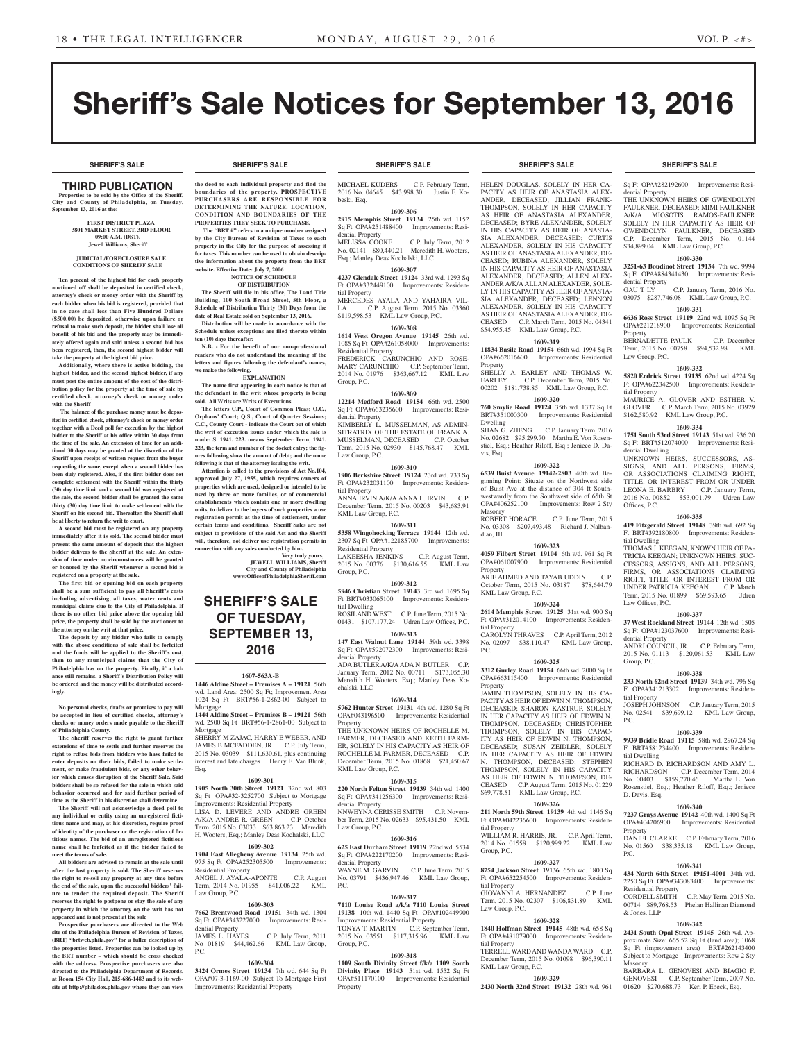**SHERIFF'S SALE SHERIFF'S SALE SHERIFF'S SALE SHERIFF'S SALE SHERIFF'S SALE**

Sq Ft OPA#282192600 Improvements: Resi-

THE UNKNOWN HEIRS OF GWENDOLYN FAULKNER, DECEASED; MIMI FAULKNER A/K/A MIOSOTIS RAMOS-FAULKNER SOLELY IN HER CAPACITY AS HEIR OF GWENDOLYN FAULKNER, DECEASED C.P. December Term, 2015 No. 01144 \$34,899.04 KML Law Group, P.C. **1609-330 3251-63 Boudinot Street 19134** 7th wd. 9994 Sq Ft OPA#884341430 Improvements: Resi-

GAU T LY C.P. January Term, 2016 No. 03075 \$287,746.08 KML Law Group, P.C. **1609-331 6636 Ross Street 19119** 22nd wd. 1095 Sq Ft OPA#221218900 Improvements: Residential

BERNADETTE PAULK C.P. December Term, 2015 No. 00758 \$94,532.98 KML

**1609-332 5820 Erdrick Street 19135** 62nd wd. 4224 Sq Ft OPA#622342500 Improvements: Residen-

MAURICE A. GLOVER AND ESTHER V. GLOVER C.P. March Term, 2015 No. 03929 \$162,580.92 KML Law Group, P.C. **1609-334 1751 South 53rd Street 19143** 51st wd. 936.20 Sq Ft BRT#512074000 Improvements: Resi-

UNKNOWN HEIRS, SUCCESSORS, AS-SIGNS, AND ALL PERSONS, FIRMS, OR ASSOCIATIONS CLAIMING RIGHT, TITLE, OR INTEREST FROM OR UNDER LEONA E. BARBRY C.P. January Term,<br>2016 No. 00852 \$53,001.79 Udren Law

**1609-335 419 Fitzgerald Street 19148** 39th wd. 692 Sq Ft BRT#392180800 Improvements: Residen-

THOMAS J. KEEGAN, KNOWN HEIR OF PA-TRICIA KEEGAN; UNKNOWN HEIRS, SUC-CESSORS, ASSIGNS, AND ALL PERSONS, FIRMS, OR ASSOCIATIONS CLAIMING RIGHT, TITLE, OR INTEREST FROM OR<br>UNDER PATRICIA KEEGAN C.P. March

Term, 2015 No. 01899 \$69,593.65 Udren

**1609-337 37 West Rockland Street 19144** 12th wd. 1505 Sq Ft OPA#123037600 Improvements: Resi-

ANDRI COUNCIL, JR. C.P. February Term, 2015 No. 01113 \$120,061.53 KML Law

**1609-338 233 North 62nd Street 19139** 34th wd. 796 Sq Ft OPA#341213302 Improvements: Residen-

JOSEPH JOHNSON C.P. January Term, 2015 No. 02541 \$39,699.12 KML Law Group,

**1609-339 9939 Bridle Road 19115** 58th wd. 2967.24 Sq Ft BRT#581234400 Improvements: Residen-

RICHARD D. RICHARDSON AND AMY L. RICHARDSON C.P. December Term, 2014 No. 00403 \$159,770.46 Martha E. Von Rosenstiel, Esq.; Heather Riloff, Esq.; Jeniece

**1609-340 7237 Grays Avenue 19142** 40th wd. 1400 Sq Ft OPA#404206900 Improvements: Residential

DANIEL CLARKE C.P. February Term, 2016 No. 01560 \$38,335.18 KML Law Group,

**1609-341 434 North 64th Street 19151-4001** 34th wd. 2250 Sq Ft OPA#343083400 Improvements:

CORDELL SMITH C.P. May Term, 2015 No. 00714 \$89,768.53 Phelan Hallinan Diamond

**1609-342 2431 South Opal Street 19145** 26th wd. Approximate Size: 665.52 Sq Ft (land area); 1068 Sq Ft (improvement area) BRT#262143400 Subject to Mortgage Improvements: Row 2 Sty

BARBARA L. GENOVESI AND BIAGIO F. GENOVESI C.P. September Term, 2007 No. 01620 \$270,688.73 Keri P. Ebeck, Esq.

2016 No. 00852 \$53,001.79

UNDER PATRICIA KEEGAN

dential Property

dential Property

Law Group, P.C.

tial Property

dential Dwelling

Offices, P.C.

tial Dwelling

Law Offices, P.C.

dential Property

Group, P.C.

tial Property

tial Dwelling

D. Davis, Esq.

Residential Property

& Jones, LLP

Masonry

Property

P.C.

P.C.

Property

# Sheriff's Sale Notices for September 13, 2016

# THIRD PUBLICATION

**Properties to be sold by the Office of the Sheriff, City and County of Philadelphia, on Tuesday, September 13, 2016 at the:** 

#### **FIRST DISTRICT PLAZA 3801 MARKET STREET, 3RD FLOOR 09:00 A.M. (DST). Jewell Williams, Sheriff**

#### **JUDICIAL/FORECLOSURE SALE CONDITIONS OF SHERIFF SALE**

**Ten percent of the highest bid for each property auctioned off shall be deposited in certified check, attorney's check or money order with the Sheriff by each bidder when his bid is registered, provided that in no case shall less than Five Hundred Dollars (\$500.00) be deposited, otherwise upon failure or refusal to make such deposit, the bidder shall lose all benefit of his bid and the property may be immediately offered again and sold unless a second bid has been registered, then, the second highest bidder will take the property at the highest bid price.**

**Additionally, where there is active bidding, the highest bidder, and the second highest bidder, if any must post the entire amount of the cost of the distribution policy for the property at the time of sale by certified check, attorney's check or money order with the Sheriff**

 **The balance of the purchase money must be deposited in certified check, attorney's check or money order together with a Deed poll for execution by the highest bidder to the Sheriff at his office within 30 days from the time of the sale. An extension of time for an additional 30 days may be granted at the discretion of the Sheriff upon receipt of written request from the buyer requesting the same, except when a second bidder has been duly registered. Also, if the first bidder does not complete settlement with the Sheriff within the thirty (30) day time limit and a second bid was registered at the sale, the second bidder shall be granted the same thirty (30) day time limit to make settlement with the Sheriff on his second bid. Thereafter, the Sheriff shall be at liberty to return the writ to court.**

**A second bid must be registered on any property immediately after it is sold. The second bidder must present the same amount of deposit that the highest bidder delivers to the Sheriff at the sale. An extension of time under no circumstances will be granted or honored by the Sheriff whenever a second bid is registered on a property at the sale.** 

**The first bid or opening bid on each property shall be a sum sufficient to pay all Sheriff's costs including advertising, all taxes, water rents and municipal claims due to the City of Philadelphia. If there is no other bid price above the opening bid price, the property shall be sold by the auctioneer to the attorney on the writ at that price.**

**The deposit by any bidder who fails to comply with the above conditions of sale shall be forfeited and the funds will be applied to the Sheriff's cost, then to any municipal claims that the City of Philadelphia has on the property. Finally, if a balance still remains, a Sheriff's Distribution Policy will be ordered and the money will be distributed accordingly.**

#### **No personal checks, drafts or promises to pay will be accepted in lieu of certified checks, attorney's checks or money orders made payable to the Sheriff**

**of Philadelphia County. The Sheriff reserves the right to grant further extensions of time to settle and further reserves the right to refuse bids from bidders who have failed to enter deposits on their bids, failed to make settlement, or make fraudulent bids, or any other behavior which causes disruption of the Sheriff Sale. Said bidders shall be so refused for the sale in which said behavior occurred and for said further period of time as the Sheriff in his discretion shall determine.**

**The Sheriff will not acknowledge a deed poll to any individual or entity using an unregistered fictitious name and may, at his discretion, require proof of identity of the purchaser or the registration of fictitious names. The bid of an unregistered fictitious name shall be forfeited as if the bidder failed to meet the terms of sale.**

**All bidders are advised to remain at the sale until after the last property is sold. The Sheriff reserves the right to re-sell any property at any time before the end of the sale, upon the successful bidders' failure to tender the required deposit. The Sheriff reserves the right to postpone or stay the sale of any property in which the attorney on the writ has not appeared and is not present at the sale**

**Prospective purchasers are directed to the Web site of the Philadelphia Bureau of Revision of Taxes, (BRT) "brtweb.phila.gov" for a fuller description of the properties listed. Properties can be looked up by the BRT number – which should be cross checked with the address. Prospective purchasers are also directed to the Philadelphia Department of Records, at Room 154 City Hall, 215-686-1483 and to its website at http://philadox.phila.gov where they can view** 

#### **SHERIFF'S SALE SHERIFF'S SALE SHERIFF'S SALE SHERIFF'S SALE SHERIFF'S SALE**

**the deed to each individual property and find the boundaries of the property. PROSPECTIVE PURCHASERS ARE RESPONSIBLE FOR DETERMINING THE NATURE, LOCATION, CONDITION AND BOUNDARIES OF THE PROPERTIES THEY SEEK TO PURCHASE.**

 **The "BRT #" refers to a unique number assigned by the City Bureau of Revision of Taxes to each property in the City for the purpose of assessing it for taxes. This number can be used to obtain descriptive information about the property from the BRT website. Effective Date: July 7, 2006 NOTICE OF SCHEDULE** 

#### **OF DISTRIBUTION**

**The Sheriff will file in his office, The Land Title Building, 100 South Broad Street, 5th Floor, a Schedule of Distribution Thirty (30) Days from the date of Real Estate sold on September 13, 2016. Distribution will be made in accordance with the** 

**Schedule unless exceptions are filed thereto within ten (10) days thereafter. N.B. - For the benefit of our non-professional** 

**readers who do not understand the meaning of the letters and figures following the defendant's names, we make the following. EXPLANATION**

**The name first appearing in each notice is that of the defendant in the writ whose property is being sold. All Writs are Writs of Executions.**

**The letters C.P., Court of Common Pleas; O.C., Orphans' Court; Q.S., Court of Quarter Sessions; C.C., County Court - indicate the Court out of which the writ of execution issues under which the sale is made: S. 1941. 223. means September Term, 1941. 223, the term and number of the docket entry; the figures following show the amount of debt; and the name following is that of the attorney issuing the writ.**

**Attention is called to the provisions of Act No.104, approved July 27, 1955, which requires owners of properties which are used, designed or intended to be used by three or more families, or of commercial establishments which contain one or more dwelling units, to deliver to the buyers of such properties a use registration permit at the time of settlement, under certain terms and conditions. Sheriff Sales are not subject to provisions of the said Act and the Sheriff will, therefore, not deliver use registration permits in** 

**connection with any sales conducted by him. Very truly yours, JEWELL WILLIAMS, Sheriff City and County of Philadelphia www.OfficeofPhiladelphiaSheriff.com**

**SHERIFF'S SALE OF TUESDAY,** 

# **SEPTEMBER 13, 2016**

### **1607-563A-B**

**1446 Aldine Street – Premises A – 19121** 56th wd. Land Area: 2500 Sq Ft; Improvement Area 1024 Sq Ft BRT#56-1-2862-00 Subject to Mortgage **1444 Aldine Street – Premises B – 19121** 56th wd. 2500 Sq Ft BRT#56-1-2861-00 Subject to Mortgage SHERRY M ZAJAC, HARRY E WEBER, AND

JAMES B MCFADDEN, JR C.P. July Term, 2015 No. 03039 \$111,630.61, plus continuing interest and late charges Henry E. Van Blunk, Esq.

### **1609-301**

**1905 North 30th Street 19121** 32nd wd. 803 Sq Ft OPA#32-3252700 Subject to Mortgage Improvements: Residential Property

LISA D. LEVERE AND ANDRE GREEN A/K/A ANDRE R. GREEN C.P. October Term, 2015 No. 03033 \$63,863.23 Meredith

H. Wooters, Esq.; Manley Deas Kochalski, LLC **1609-302 1904 East Allegheny Avenue 19134** 25th wd. 975 Sq Ft OPA#252305500 Improvements: ntial Property ANGEL J. AYALA-APONTE C.P. August

Term, 2014 No. 01955 \$41,006.22 KML Law Group, P.C. **1609-303**

#### **7662 Brentwood Road 19151** 34th wd. 1304

Sq Ft OPA#343227000 Improvements: Residential Property<br>JAMES L. HAYES JAMES L. HAYES C.P. July Term, 2011 No 01819 \$44,462.66 KML Law Group,  $PC$ 

#### **1609-304**

**3424 Ormes Street 19134** 7th wd. 644 Sq Ft OPA#07-3-1169-00 Subject To Mortgage First Improvements: Residential Property

MICHAEL KUDERS C.P. February Term, 2016 No. 04645 \$43,998.30 Justin F. Kobeski, Esq.

**1609-306 2915 Memphis Street 19134** 25th wd. 1152 Sq Ft OPA#251488400 Improvements: Residential Property<br>MELISSA COOKE C.P. July Term, 2012

No. 02141 \$80,440.21 Meredith H. Wooters, Esq.; Manley Deas Kochalski, LLC **1609-307**

**4237 Glendale Street 19124** 33rd wd. 1293 Sq Ft OPA#332449100 Improvements: Residential Property

MERCEDES AYALA AND YAHAIRA VIL-LA C.P. August Term, 2015 No. 03360 \$119,598.53 KML Law Group, P.C.

### **1609-308**

**1614 West Oregon Avenue 19145** 26th wd. 1085 Sq Ft OPA#261058000 Improvements: Residential Property FREDERICK CARUNCHIO AND ROSE-MARY CARUNCHIO C.P. September Term, 2014 No. 01976 \$363,667.12 KML Law Group, P.C.

#### **1609-309**

**12214 Medford Road 19154** 66th wd. 2500 Sq Ft OPA#663235600 Improvements: Residential Property

KIMBERLY L. MUSSELMAN, AS ADMIN-SITRATRIX OF THE ESTATE OF FRANK A. MUSSELMAN, DECEASED C.P. October MUSSELMAN, DECEASED Term, 2015 No. 02930 \$145,768.47 KML Law Group, P.C.

# **1609-310**

**1906 Berkshire Street 19124** 23rd wd. 733 Sq Ft OPA#232031100 Improvements: Residential Property ANNA IRVIN A/K/A ANNA L. IRVIN C.P. December Term, 2015 No. 00203 \$43,683.91 KML Law Group, P.C.

# **1609-311**

**5358 Wingohocking Terrace 19144** 12th wd. 2307 Sq Ft OPA#122185700 Improvements: Residential Property LAKEESHA JENKINS C.P. August Term, 2015 No. 00376 \$130,616.55 KML Law Group, P.C.

#### **1609-312 5946 Christian Street 19143** 3rd wd. 1695 Sq Ft BRT#033065100 Improvements: Residential Dwelling ROSILAND WEST C.P. June Term, 2015 No. 01431 \$107,177.24 Udren Law Offices, P.C.

**1609-313 147 East Walnut Lane 19144** 59th wd. 3398

Sq Ft OPA#592072300 Improvements: Residential Property ADA BUTLER A/K/A ADA N. BUTLER C.P. January Term, 2012 No. 00711 \$173,055.30 Meredith H. Wooters, Esq.; Manley Deas Ko-

# **1609-314**

chalski, LLC

**5762 Hunter Street 19131** 4th wd. 1280 Sq Ft OPA#043196500 Improvements: Residential Property

THE UNKNOWN HEIRS OF ROCHELLE M. FARMER, DECEASED AND KEITH FARM-ER, SOLELY IN HIS CAPACITY AS HEIR OF ROCHELLE M. FARMER, DECEASED C.P. December Term, 2015 No. 01868 \$21,450.67 KML Law Group, P.C.

#### **1609-315 220 North Felton Street 19139** 34th wd. 1400

Sq Ft OPA#341256300 Improvements: Residential Property NNWEYNA CERISSE SMITH C.P. November Term, 2015 No. 02633 \$95,431.50 KML

Law Group, P.C. **1609-316**

**625 East Durham Street 19119** 22nd wd. 5534 Sq Ft OPA#222170200 Improvements: Residential Property WAYNE M. GARVIN C.P. June Term, 2015 No. 03791 \$436,947.46 KML Law Group, P.C.

#### **1609-317**

**7110 Louise Road a/k/a 7110 Louise Street 19138** 10th wd. 1440 Sq Ft OPA#102449900 Improvements: Residential Property TONYA T. MARTIN C.P. September Term, 2015 No. 03551 \$117,315.96 KML Law Group, P.C.

#### **1609-318**

**1109 South Divinity Street f/k/a 1109 South Divinity Place 19143** 51st wd. 1552 Sq Ft OPA#511170100 Improvements: Residential Property

HELEN DOUGLAS, SOLELY IN HER CA-PACITY AS HEIR OF ANASTASIA ALEX-ANDER, DECEASED; JILLIAN FRANK-THOMPSON, SOLELY IN HER CAPACITY AS HEIR OF ANASTASIA ALEXANDER, DECEASED; BYRE ALEXANDER, SOLELY IN HIS CAPACITY AS HEIR OF ANASTA-SIA ALEXANDER, DECEASED; CURTIS ALEXANDER, SOLELY IN HIS CAPACITY AS HEIR OF ANASTASIA ALEXANDER, DE-CEASED; RUBINA ALEXANDER, SOLELY IN HIS CAPACITY AS HEIR OF ANASTASIA ALEXANDER, DECEASED; ALLEN ALEX-ANDER A/K/A ALLAN ALEXANDER, SOLE-LY IN HIS CAPACITY AS HEIR OF ANASTA-SIA ALEXANDER, DECEASED; LENNON ALEXANDER, SOLELY IN HIS CAPACITY AS HEIR OF ANASTASIA ALEXANDER, DE-CEASED C.P. March Term, 2015 No. 04341 \$54,955.45 KML Law Group, P.C.

#### **1609-319**

**11834 Basile Road 19154** 66th wd. 1994 Sq Ft OPA#662016600 Improvements: Residential Property

SHELLY A. EARLEY AND THOMAS W. EARLEY C.P. December Term, 2015 No. 00202 \$181,738.85 KML Law Group, P.C. **1609-320**

**760 Smylie Road 19124** 35th wd. 1337 Sq Ft BRT#351000300 Improvements: Residential Dwelling<br>SHAN G. ZHENG

C.P. January Term, 2016 No. 02682 \$95,299.70 Martha E. Von Rosenstiel, Esq.; Heather Riloff, Esq.; Jeniece D. Davis, Esq.

# **1609-322**

**6539 Buist Avenue 19142-2803** 40th wd. Beginning Point: Situate on the Northwest side of Buist Ave at the distance of 304 ft Southwestwardly from the Southwest side of 65th St<br>OPA#406252100 Improvements: Row 2 Sty Masonry

ROBERT HORACE C.P. June Term, 2015 No. 03308 \$207,493.48 Richard J. Nalbandian, III

### **1609-323**

**4059 Filbert Street 19104** 6th wd. 961 Sq Ft OPA#061007900 Improvements: Residential Property ARIF AHMED AND TAYAB UDDIN October Term, 2015 No. 03187 \$78,644.79 KML Law Group, P.C.

# **1609-324**

**2614 Memphis Street 19125** 31st wd. 900 Sq Ft OPA#312014100 Improvements: Residential Property CAROLYN THRAVES C.P. April Term, 2012 No. 02097 \$38,110.47 KML Law Group, P.C.

#### **1609-325**

**3312 Gurley Road 19154** 66th wd. 2000 Sq Ft OPA#663115400 Improvements: Residential Property JAMIN THOMPSON, SOLELY IN HIS CA-PACITY AS HEIR OF EDWIN N. THOMPSON,

DECEASED; SHARON KASTRUP, SOLELY IN HER CAPACITY AS HEIR OF EDWIN N. THOMPSON, DECEASED; CHRISTOPHER THOMPSON, SOLELY IN HIS CAPAC-ITY AS HEIR OF EDWIN N. THOMPSON, DECEASED; SUSAN ZEIDLER, SOLELY IN HER CAPACITY AS HEIR OF EDWIN N. THOMPSON, DECEASED: STEPHEN THOMPSON, SOLELY IN HIS CAPACITY AS HEIR OF EDWIN N. THOMPSON, DE-CEASED C.P. August Term, 2015 No. 01229 \$69,778.51 KML Law Group, P.C.

### **1609-326**

**211 North 59th Street 19139** 4th wd. 1146 Sq Ft OPA#042236600 Improvements: Residential Property

WILLIAM R. HARRIS, JR. C.P. April Term, 2014 No. 01558 \$120,999.22 KML Law Group, P.C.

#### **1609-327 8754 Jackson Street 19136** 65th wd. 1800 Sq

Ft OPA#652254500 Improvements: Residential Property GIOVANNI A. HERNANDEZ C.P. June Term, 2015 No. 02307 \$106,831.89 KML Law Group, P.C.

#### **1609-328**

**1840 Hoffman Street 19145** 48th wd. 658 Sq Ft OPA#481079000 Improvements: Residential Property TERRELL WARD AND WANDA WARD C.P.

December Term, 2015 No. 01098 \$96,390.11 KML Law Group, P.C. **1609-329**

**2430 North 32nd Street 19132** 28th wd. 961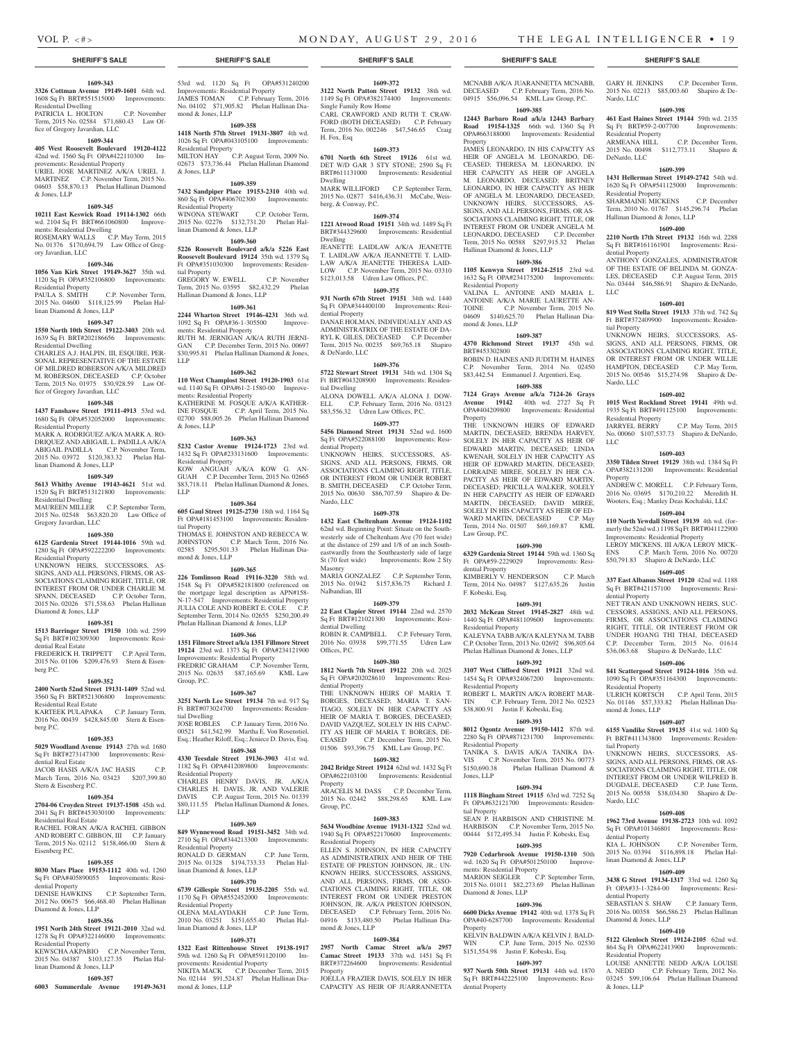Nardo, LLC

DeNardo, LLC

Residential Property

dential Property

LLC

tial Property

Nardo, LLC

LLC

Property

dential Property

Residential Property

mond & Jones, LLP

tial Property

Nardo, LLC

dential Property<br>KIA L. JOHNSON

dential Property

Diamond & Jones, LLP

Residential Property

& Jones, LLP

linan Diamond & Jones, LLP

Residential Property

Hallinan Diamond & Jones, LLP

Sq Ft BRT#59-2-007700 Residential Property<br>ARMEANA HILL

GARY H. JENKINS C.P. December Term, 2015 No. 02213 \$85,003.60 Shapiro & De-

**1609-398 461 East Haines Street 19144** 59th wd. 2135

2015 No. 00498 \$112,773.11 Shapiro &

**1609-399 1431 Hellerman Street 19149-2742** 54th wd. 1620 Sq Ft OPA#541125000 Improvements:

SHARMAINE MICKENS C.P. December Term, 2010 No. 01767 \$145,296.74 Phelan

**1609-400 2210 North 17th Street 19132** 16th wd. 2288 Sq Ft BRT#161161901 Improvements: Resi-

ANTHONY GONZALES, ADMINISTRATOR OF THE ESTATE OF BELINDA M. GONZA-LES, DECEASED C.P. August Term, 2015 No. 03444 \$46,586.91 Shapiro & DeNardo,

**1609-401 819 West Stella Street 19133** 37th wd. 742 Sq Ft BRT#372409900 Improvements: Residen-

UNKNOWN HEIRS, SUCCESSORS, AS-SIGNS, AND ALL PERSONS, FIRMS, OR ASSOCIATIONS CLAIMING RIGHT, TITLE, OR INTEREST FROM OR UNDER WILLIE HAMPTON, DECEASED C.P. May Term, 2015 No. 00546 \$15,274.98 Shapiro & De-

**1609-402 1015 West Rockland Street 19141** 49th wd. 1935 Sq Ft BRT#491125100 Improvements:

JARRYEL BERRY C.P. May Term, 2015 No. 00060 \$107,537.73 Shapiro & DeNardo,

**1609-403 3350 Tilden Street 19129** 38th wd. 1384 Sq Ft OPA#382131200 Improvements: Residential

ANDREW C. MORELL C.P. February Term, 2016 No. 03695 \$170,210.22 Meredith H. Wooters, Esq.; Manley Deas Kochalski, LLC **1609-404 110 North Yewdall Street 19139** 4th wd. (formerly the 52nd wd.) 1198 Sq Ft BRT#041122900 Improvements: Residential Property LEROY MICKENS, III A/K/A LEROY MICK-ENS C.P. March Term, 2016 No. 00720 \$50,791.83 Shapiro & DeNardo, LLC **1609-405 337 East Albanus Street 19120** 42nd wd. 1188 Sq Ft BRT#421157100 Improvements: Resi-

NET TRAN AND UNKNOWN HEIRS, SUC-CESSORS, ASSIGNS, AND ALL PERSONS, FIRMS, OR ASSOCIATIONS CLAIMING RIGHT, TITLE, OR INTEREST FROM OR UNDER HOANG THI THAI, DECEASED C.P. December Term, 2015 No. 01614 \$36,063.68 Shapiro & DeNardo, LLC **1609-406 841 Scattergood Street 19124-1016** 35th wd. 1090 Sq Ft OPA#351164300 Improvements:

ULRICH KORTSCH C.P. April Term, 2015 No. 01146 \$57,333.82 Phelan Hallinan Dia-

**1609-407 6155 Vandike Street 19135** 41st wd. 1400 Sq Ft BRT#411343800 Improvements: Residen-

UNKNOWN HEIRS, SUCCESSORS AS-SIGNS, AND ALL PERSONS, FIRMS, OR AS-SOCIATIONS CLAIMING RIGHT, TITLE, OR INTEREST FROM OR UNDER WILFRED B. DUGDALE, DECEASED C.P. June Term, 2015 No. 00558 \$38,034.80 Shapiro & De-

**1609-408 1962 73rd Avenue 19138-2723** 10th wd. 1092 Sq Ft OPA#101346801 Improvements: Resi-

2015 No. 03394 \$116,898.18 Phelan Hal-

**1609-409 3438 G Street 19134-1317** 33rd wd. 1260 Sq Ft OPA#33-1-3284-00 Improvements: Resi-

SEBASTIAN S. SHAW C.P. January Term, 2016 No. 00358 \$66,586.23 Phelan Hallinan

**1609-410 5122 Glenloch Street 19124-2105** 62nd wd. 864 Sq Ft OPA#622413900 Improvements:

LOUISE ANNETTE NEDD A/K/A LOUISE A. NEDD C.P. February Term, 2012 No. 03245 \$99,106.64 Phelan Hallinan Diamond

C.P. November Term,

C.P. December Term,

MCNABB A/K/A JUARANNETTA MCNABB, DECEASED C.P. February Term, 2016 No. 04915 \$56,096.54 KML Law Group, P.C. **1609-385 12443 Barbaro Road a/k/a 12443 Barbary Road 19154-1325** 66th wd. 1360 Sq Ft OPA#663188000 Improvements: Residential

JAMES LEONARDO, IN HIS CAPACITY AS HEIR OF ANGELA M. LEONARDO, DE-CEASED; THERESA M. LEONARDO, IN HER CAPACITY AS HEIR OF ANGELA M. LEONARDO, DECEASED; BRITNEY LEONARDO, IN HER CAPACITY AS HEIR OF ANGELA M. LEONARDO, DECEASED; UNKNOWN HEIRS, SUCCESSORS, AS-SIGNS, AND ALL PERSONS, FIRMS, OR AS-SOCIATIONS CLAIMING RIGHT, TITLE, OR INTEREST FROM OR UNDER ANGELA M. LEONARDO, DECEASED C.P. December Term, 2015 No. 00588 \$297,915.32 Phelan

Hallinan Diamond & Jones, LLP

Residential Property

mond & Jones, LLP

BRT#453302800

Property

Law Group, P.C.

F. Kobeski, Esq.

Residential Property

Residential Property

Residential Property

Jones, LLP

tial Property

ments: Residential Property

Diamond & Jones, LLP

Property

dential Property

Ft OPA#59-2229029 dential Property

**1609-386 1105 Kenwyn Street 19124-2515** 23rd wd. 1632 Sq Ft OPA#234175200 Improvements:

VALINA L. ANTOINE AND MARIA L. ANTOINE A/K/A MARIE LAURETTE AN-TOINE C.P. November Term, 2015 No. 04609 \$140,625.70 Phelan Hallinan Dia-

**1609-387 4370 Richmond Street 19137** 45th wd.

ROBIN D. HAINES AND JUDITH M. HAINES C.P. November Term, 2014 No. 02450 \$83,442.54 Emmanuel J. Argentieri, Esq. **1609-388 7124 Grays Avenue a/k/a 7124-26 Grays Avenue 19142** 40th wd. 2727 Sq Ft OPA#404209800 Improvements: Residential

THE UNKNOWN HEIRS OF EDWARD MARTIN, DECEASED; BRENDA HARVEY, SOLELY IN HER CAPACITY AS HEIR OF EDWARD MARTIN, DECEASED; LINDA KWENAH, SOLELY IN HER CAPACITY AS HEIR OF EDWARD MARTIN, DECEASED; LORRAINE MIREE, SOLELY IN HER CA-PACITY AS HEIR OF EDWARD MARTIN, DECEASED; PRICILLA WALKER, SOLELY IN HER CAPACITY AS HEIR OF EDWARD MARTIN, DECEASED; DAVID MIREE, SOLELY IN HIS CAPACITY AS HEIR OF ED-WARD MARTIN, DECEASED C.P. May Term, 2014 No. 01507 \$69,169.87 KML

**1609-390 6329 Gardenia Street 19144** 59th wd. 1360 Sq

KIMBERLY V. HENDERSON C.P. March Term, 2014 No. 04987 \$127,635.26 Justin

**1609-391 2032 McKean Street 19145-2827** 48th wd. 1440 Sq Ft OPA#481109600 Improvements:

KALEYNA TABB A/K/A KALEYNA M. TABB C.P. October Term, 2013 No. 02692 \$96,805.64 Phelan Hallinan Diamond & Jones, LLP **1609-392 3107 West Clifford Street 19121** 32nd wd. 1454 Sq Ft OPA#324067200 Improvements:

ROBERT L. MARTIN A/K/A ROBERT MAR-TIN C.P. February Term, 2012 No. 02523 \$38,800.91 Justin F. Kobeski, Esq. **1609-393 8012 Ogontz Avenue 19150-1412** 87th wd. 2280 Sq Ft OPA#871231700 Improvements:

TANIKA S. DAVIS A/K/A TANIKA DA-VIS C.P. November Term, 2015 No. 00773 \$150,690.38 Phelan Hallinan Diamond &

**1609-394 1118 Bingham Street 19115** 63rd wd. 7252 Sq Ft OPA#632121700 Improvements: Residen-

SEAN P. HARBISON AND CHRISTINE M. HARBISON C.P. November Term, 2015 No. 00444 \$172,495.34 Justin F. Kobeski, Esq. **1609-395 7920 Cedarbrook Avenue 19150-1310** 50th wd. 1620 Sq Ft OPA#501250100 Improve-

MARION SEIGLER C.P. September Term, 2015 No. 01011 \$82,273.69 Phelan Hallinan

**1609-396 6600 Dicks Avenue 19142** 40th wd. 1378 Sq Ft OPA#40-6287700 Improvements: Residential

KELVIN BALDWIN A/K/A KELVIN J. BALD-WIN C.P. June Term, 2015 No. 02530 \$151,554.98 Justin F. Kobeski, Esq. **1609-397 937 North 50th Street 19131** 44th wd. 1870 Sq Ft BRT#442225100 Improvements: Resi-

Property

# **SHERIFF'S SALE SHERIFF'S SALE SHERIFF'S SALE SHERIFF'S SALE SHERIFF'S SALE**

#### **1609-343 3326 Cottman Avenue 19149-1601** 64th wd.

1608 Sq Ft BRT#551515000 Improvements: Residential Dwelling PATRICIA L. HOLTON C.P. November

Term, 2015 No. 02584 \$71,680.43 Law Office of Gregory Javardian, LLC

# **1609-344**

**405 West Roosevelt Boulevard 19120-4122**  42nd wd. 1560 Sq Ft OPA#422110300 Improvements: Residential Property URIEL JOSE MARTINEZ A/K/A URIEL J.

MARTINEZ C.P. November Term, 2015 No. 04603 \$58,870.13 Phelan Hallinan Diamond & Jones, LLP

#### **1609-345**

**10211 East Keswick Road 19114-1302** 66th wd. 2104 Sq Ft BRT#661060800 Improve-

ments: Residential Dwelling<br>ROSEMARY WALLS C.P. May Term, 2015<br>No. 01376 \$170,694.79 Law Office of Gregory Javardian, LLC

# **1609-346**

**1056 Van Kirk Street 19149-3627** 35th wd. 1120 Sq Ft OPA#352106800 Improvements:

Residential Property C.P. November Term, 2015 No. 04600 \$118,125.99 Phelan Hallinan Diamond & Jones, LLP

**1609-347 1550 North 10th Street 19122-3403** 20th wd.

#### 1639 Sq Ft BRT#202186656 Improvements: Residential Dwelling

CHARLES A.J. HALPIN, III, ESQUIRE, PER-SONAL REPRESENTATIVE OF THE ESTATE OF MILDRED ROBERSON A/K/A MILDRED M. ROBERSON, DECEASED C.P. October Term, 2015 No. 01975 \$30,928.59 Law Office of Gregory Javardian, LLC

#### **1609-348**

**1437 Fanshawe Street 19111-4913** 53rd wd. 1680 Sq Ft OPA#532052000 Improvements: Residential Property MARK A. RODRIGUEZ A/K/A MARK A. RO-

DRIQUEZ AND ABIGAIL L. PADILLA A/K/A ABIGAIL PADILLA C.P. November Term, 2015 No. 03972 \$120,383.32 Phelan Hallinan Diamond & Jones, LLP

# **1609-349**

**5613 Whitby Avenue 19143-4621** 51st wd. 1520 Sq Ft BRT#513121800 Improvements: Residential Dwelling MAUREEN MILLER C.P. September Term,

2015 No. 02548 \$63,820.20 Law Office of Gregory Javardian, LLC

#### **1609-350**

**6125 Gardenia Street 19144-1016** 59th wd. 1280 Sq Ft OPA#592222200 Improvements: Residential Property

UNKNOWN HEIRS, SUCCESSORS, AS-SIGNS, AND ALL PERSONS, FIRMS, OR AS-SOCIATIONS CLAIMING RIGHT, TITLE, OR INTEREST FROM OR UNDER CHARLIE M. SPANN, DECEASED C.P. October Term, 2015 No. 02026 \$71,538.63 Phelan Hallinan Diamond & Jones, LLP

#### **1609-351**

**1513 Barringer Street 19150** 10th wd. 2599 Sq Ft BRT#102309300 Improvements: Residential Real Estate FREDERICK H. TRIPPETT C.P. April Term, 2015 No. 01106 \$209,476.93 Stern & Eisen-

berg P.C. **1609-352**

#### **2400 North 52nd Street 19131-1409** 52nd wd. 3560 Sq Ft BRT#521306800 Improvements:

Residential Real Estate KARTEEK PULAPAKA C.P. January Term, 2016 No. 00439 \$428,845.00 Stern & Eisenberg P.C.

#### **1609-353**

**5029 Woodland Avenue 19143** 27th wd. 1680 Sq Ft BRT#273147300 Improvements: Residential Real Estate JACOB HASIS A/K/A JAC HASIS C.P.

March Term, 2016 No. 03423 \$207,399.80 Stern & Eisenberg P.C.

#### **1609-354**

**2704-06 Croyden Street 19137-1508** 45th wd. 2041 Sq Ft BRT#453030100 Improvements: Residential Real Estate

RACHEL FORAN A/K/A RACHEL GIBBON AND ROBERT C. GIBBON, III C.P. January Term, 2015 No. 02112 \$158,466.00 Stern & Eisenberg P.C.

#### **1609-355**

**8030 Mars Place 19153-1112** 40th wd. 1260 Sq Ft OPA#405890055 Improvements: Residential Property

DENISE HAWKINS C.P. September Term, 2012 No. 00675 \$66,468.40 Phelan Hallinan Diamond & Jones, LLP

#### **1609-356**

**1951 North 24th Street 19121-2010** 32nd wd. 1278 Sq Ft OPA#322146000 Improvements: Residential Property

KEWSCHA AKPABIO C.P. November Term, 2015 No. 04387 \$103,127.35 Phelan Hallinan Diamond & Jones, LLP

**1609-357 6003 Summerdale Avenue 19149-3631**  Improvements: Residential Property JAMES TOMAN C.P. February Term, 2016 No. 04102 \$71,905.82 Phelan Hallinan Dia-

53rd wd. 1120 Sq Ft OPA#531240200

#### mond & Jones, LLP **1609-358**

**1418 North 57th Street 19131-3807** 4th wd. 1026 Sq Ft OPA#043105100 Improvements: Residential Property<br>MILTON HAY C.P. August Term, 2009 No. MILTON HAY C.P. August Term, 2009 No. 02673 \$73,736.44 Phelan Hallinan Diamond

### **1609-359**

& Jones, LLP

LLP

**7432 Sandpiper Place 19153-2310** 40th wd. 860 Sq Ft OPA#406702300 Improvements: Residential Property WINONA STEWART C.P. October Term,

2015 No. 02276 \$132,731.20 Phelan Hallinan Diamond & Jones, LLP

### **1609-360**

**5226 Roosevelt Boulevard a/k/a 5226 East Roosevelt Boulevard 19124** 35th wd. 1379 Sq Ft OPA#351030300 Improvements: Residential Property GREGORY W. EWELL C.P. November Term, 2015 No. 03595 \$82,432.29 Phelan Hallinan Diamond & Jones, LLP

# **1609-361**

**2244 Wharton Street 19146-4231** 36th wd. 1092 Sq Ft OPA#36-1-305500 Improvements: Residential Property RUTH M. JERNIGAN A/K/A RUTH JERNI-GAN C.P. December Term, 2015 No. 00697 \$30,995.81 Phelan Hallinan Diamond & Jones,

**1609-362 110 West Champlost Street 19120-1903** 61st wd. 1140 Sq Ft OPA#61-2-1580-00 Improvements: Residential Property KATHERINE M. FOSQUE A/K/A KATHER-

INE FOSQUE C.P. April Term, 2015 No. 02700 \$88,005.26 Phelan Hallinan Diamond & Jones, LLP

**1609-363**

**5232 Castor Avenue 19124-1723** 23rd wd. 1432 Sq Ft OPA#233131600 Improvements: Residential Property KOW ANGUAH A/K/A KOW G. AN-GUAH C.P. December Term, 2015 No. 02665 \$83,718.11 Phelan Hallinan Diamond & Jones, LLP

### **1609-364**

**605 Gaul Street 19125-2730** 18th wd. 1164 Sq Ft OPA#181453100 Improvements: Residential Property THOMAS E. JOHNSTON AND REBECCA W. JOHNSTON C.P. March Term, 2016 No. 02585 \$295,501.33 Phelan Hallinan Dia-

mond & Jones, LLP

**1609-365 226 Tomlinson Road 19116-3220** 58th wd. 1548 Sq Ft OPA#582181800 (referenced on the mortgage legal description as APN#158- N-17-547 Improvements: Residential Property JULIA COLE AND ROBERT E. COLE C.P. September Term, 2014 No. 02655 \$250,200.49 Phelan Hallinan Diamond & Jones, LLP

#### **1609-366**

**1351 Filmore Street a/k/a 1351 Fillmore Street 19124** 23rd wd. 1373 Sq Ft OPA#234121900 Improvements: Residential Property FREDRIC GRAHAM C.P. November Term, 2015 No. 02635 \$87,165.69 KML Law Group, P.C.

#### **1609-367**

**3251 North Lee Street 19134** 7th wd. 917 Sq Ft BRT#073024700 Improvements: Residential Dwelling JOSE ROBLES C.P. January Term, 2016 No. 00521 \$41,542.99 Martha E. Von Rosenstiel, Esq.; Heather Riloff, Esq.; Jeniece D. Davis, Esq.

#### **1609-368**

**4330 Teesdale Street 19136-3903** 41st wd. 1182 Sq Ft OPA#412089800 Improvements: Residential Property CHARLES HENRY DAVIS, JR. A/K/A CHARLES H. DAVIS, JR. AND VALERIE

DAVIS C.P. August Term, 2015 No. 01339 \$80,111.55 Phelan Hallinan Diamond & Jones, LLP

# **1609-369**

**849 Wynnewood Road 19151-3452** 34th wd. 2710 Sq Ft OPA#344213300 Improvements: Residential Property RONALD D. GERMAN C.P. June Term,

# 2015 No. 01328 \$194,733.33 Phelan Hal-linan Diamond & Jones, LLP

**1609-370 6739 Gillespie Street 19135-2205** 55th wd. 1170 Sq Ft OPA#552452000 Improvements: Residential Property<br>OLENA MALAYDAKH

OLENA MALAYDAKH C.P. June Term, 2010 No. 03251 \$151,655.40 Phelan Hal-linan Diamond & Jones, LLP

#### **1609-371**

**1322 East Rittenhouse Street 19138-1917** 

provements: Residential Property NIKITA MACK C.P. December Term, 2015 No. 02144 \$91,524.87 Phelan Hallinan Dia-

59th wd. 1260 Sq Ft OPA#591120100 Im-**2957 North Camac Street a/k/a 2957 Camac Street 19133** 37th wd. 1451 Sq Ft BRT#372264600 Improvements: Residential Property

mond & Jones, LLP JOELLA FRAZIER DAVIS, SOLELY IN HER CAPACITY AS HEIR OF JUARRANNETTA

**1609-372**

**3122 North Patton Street 19132** 38th wd. 1149 Sq Ft OPA#382174400 Improvements: Single Family Row Home CARL CRAWFORD AND RUTH T. CRAW-FORD (BOTH DECEASED) C.P. February Term, 2016 No. 002246 \$47,546.65 Craig H. Fox, Esq

### **1609-373**

**6701 North 6th Street 19126** 61st wd. DET W/D GAR 3 STY STONE; 2590 Sq Ft BRT#611131000 Improvements: Residential Dwelling MARK WILLIFORD C.P. September Term, 2015 No. 02877 \$416,436.31 McCabe, Weisberg, & Conway, P.C.

### **1609-374**

**1221 Atwood Road 19151** 34th wd. 1489 Sq Ft BRT#344329600 Improvements: Residential Dwelling JEANETTE LAIDLAW A/K/A JEANETTE T. LAIDLAW A/K/A JEANNETTE T. LAID-LAW A/K/A JEANETTE THERESA LAID-LOW C.P. November Term, 2015 No. 03310

### \$123,013.58 Udren Law Offices, P.C. **1609-375**

**931 North 67th Street 19151** 34th wd. 1440 Sq Ft OPA#344400100 Improvements: Residential Property DANAE HOLMAN, INDIVIDUALLY AND AS ADMINISTRATRIX OF THE ESTATE OF DA-RYL K. GILES, DECEASED C.P. December Term, 2015 No. 00235 \$69,765.18 Shapiro & DeNardo, LLC

#### **1609-376**

**5722 Stewart Street 19131** 34th wd. 1304 Sq Ft BRT#043208900 Improvements: Residential Dwelling ALONA DOWELL A/K/A ALONA J. DOW-ELL C.P. February Term, 2016 No. 03123 \$83,556.32 Udren Law Offices, P.C.

#### **1609-377**

**5456 Diamond Street 19131** 52nd wd. 1600 Sq Ft OPA#522088100 Improvements: Residential Property

UNKNOWN HEIRS, SUCCESSORS, AS-SIGNS, AND ALL PERSONS, FIRMS, OR ASSOCIATIONS CLAIMING RIGHT, TITLE, OR INTEREST FROM OR UNDER ROBERT B. SMITH, DECEASED C.P. October Term, 2015 No. 00630 \$86,707.59 Shapiro & De-Nardo, LLC

#### **1609-378**

**1432 East Cheltenham Avenue 19124-1102**  62nd wd. Beginning Point: Situate on the Southwesterly side of Cheltenham Ave (70 feet wide) at the distance of 259 and 1/8 of an inch Southeastwardly from the Southeasterly side of large St (70 feet wide) Improvements: Row 2 Sty Masonry MARIA GONZALEZ C.P. September Term,

2015 No. 01942 \$157,836.75 Richard J. Nalbandian, III

Sq Ft BRT#121021300 Improvements: Resi-

ROBIN R. CAMPBELL C.P. February Term, 2016 No. 03938 \$99,771.55 Udren Law

**1609-380 1812 North 7th Street 19122** 20th wd. 2025 Sq Ft OPA#202028610 Improvements: Resi-

THE UNKNOWN HEIRS OF MARIA T. BORGES, DECEASED; MARIA T. SAN-TIAGO, SOLELY IN HER CAPACITY AS HEIR OF MARIA T. BORGES, DECEASED; DAVID VAZQUEZ, SOLELY IN HIS CAPAC-ITY AS HEIR OF MARIA T. BORGES, DE-CEASED C.P. December Term, 2015 No. 01506 \$93,396.75 KML Law Group, P.C. **1609-382 2042 Bridge Street 19124** 62nd wd. 1432 Sq Ft OPA#622103100 Improvements: Residential

ARACELIS M. DASS C.P. December Term, 2015 No. 02442 \$88,298.65 KML Law

**1609-383 5634 Woodbine Avenue 19131-1322** 52nd wd. 1940 Sq Ft OPA#522170600 Improvements:

ELLEN S. JOHNSON, IN HER CAPACITY AS ADMINISTRATRIX AND HEIR OF THE ESTATE OF PRESTON JOHNSON, JR.; UN-KNOWN HEIRS, SUCCESSORS, ASSIGNS, AND ALL PERSONS, FIRMS, OR ASSO-CIATIONS CLAIMING RIGHT, TITLE, OR INTEREST FROM OR UNDER PRESTON JOHNSON, JR. A/K/A PRESTON JOHNSON, DECEASED C.P. February Term, 2016 No. 04916 \$133,480.50 Phelan Hallinan Dia-

**1609-384**

#### **1609-379 22 East Clapier Street 19144** 22nd wd. 2570

dential Dwelling

dential Property

Property

Group, P.C.

Residential Property

mond & Jones, LLP

Offices, P.C.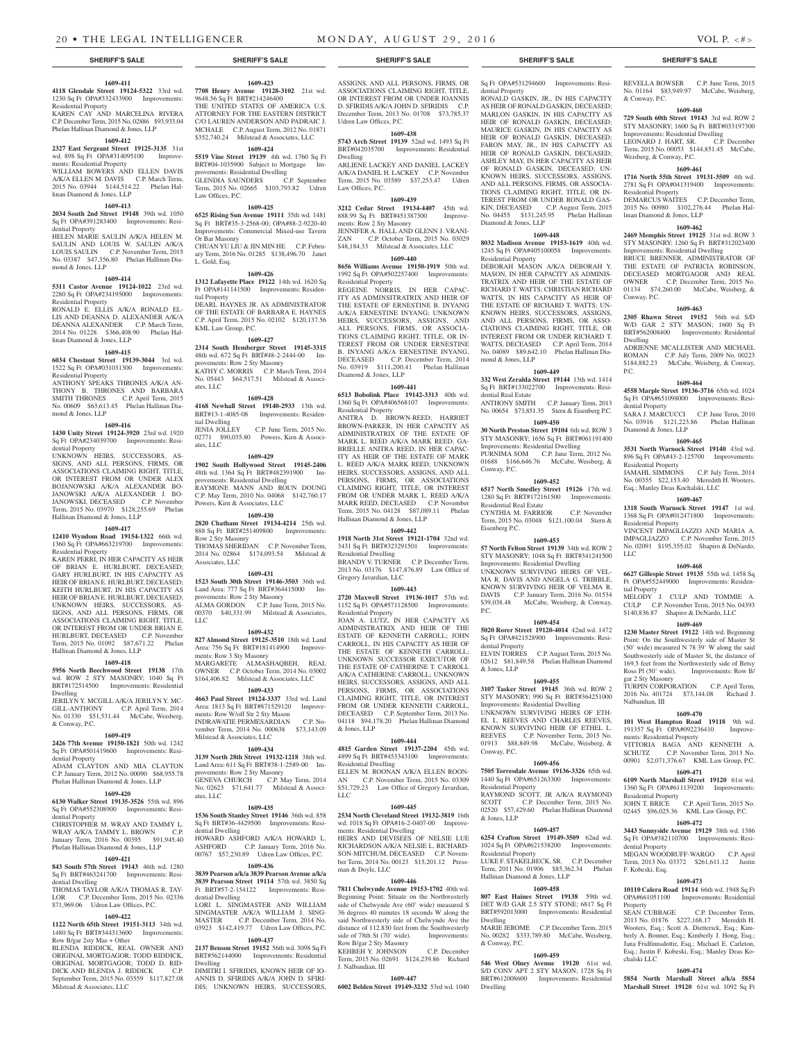**1609-411 4118 Glendale Street 19124-5322** 33rd wd. 1230 Sq Ft OPA#332433900 Improvements: Residential Property KAREN CAY AND MARCELINA RIVERA C.P. December Term, 2015 No. 02886 \$93,933.04 Phelan Hallinan Diamond & Jones, LLP **1609-412 2327 East Sergeant Street 19125-3135** 31st wd. 898 Sq Ft OPA#314095100 Improvements: Residential Property WILLIAM BOWERS AND ELLEN DAVIS A/K/A ELLEN M. DAVIS C.P. March Term, 2015 No. 03944 \$144,514.22 Phelan Hal-

**1609-413 2034 South 2nd Street 19148** 39th wd. 1050 Sq Ft OPA#391283400 Improvements: Resi-

HELEN MARIE SAULIN A/K/A HELEN M. SAULIN AND LOUIS W. SAULIN A/K/A LOUIS SAULIN C.P. November Term, 2015 No. 03387 \$47,356.80 Phelan Hallinan Dia-

**1609-414 5311 Castor Avenue 19124-1022** 23rd wd. 2280 Sq Ft OPA#234195000 Improvements: Residential Property RONALD E. ELLIS A/K/A RONALD EL-LIS AND DEANNA D. ALEXANDER A/K/A DEANNA ALEXANDER C.P. March Term, 2014 No. 01228 \$366,408.90 Phelan Hal-

**1609-415 6034 Chestnut Street 19139-3044** 3rd wd. 1522 Sq Ft OPA#031031300 Improvements:

ANTHONY SPEAKS THRONES A/K/A AN-THONY B. THRONES AND BARBARA SMITH THRONES C.P. April Term, 2015 No. 00609 \$63,613.45 Phelan Hallinan Dia-

**1609-416 1430 Unity Street 19124-3920** 23rd wd. 1920 Sq Ft OPA#234039700 Improvements: Resi-

UNKNOWN HEIRS, SUCCESSORS, AS-SIGNS, AND ALL PERSONS, FIRMS, OR ASSOCIATIONS CLAIMING RIGHT, TITLE, OR INTEREST FROM OR UNDER ALEX BOJANOWSKI A/K/A ALEXANDER BO-JANOWSKI A/K/A ALEXANDER J. BO-JANOWSKI, DECEASED C.P. November Term, 2015 No. 03970 \$128,255.69 Phelan

**1609-417 12410 Wyndom Road 19154-1322** 66th wd. 1360 Sq Ft OPA#663219700 Improvements: Residential Property KAREN PERRI, IN HER CAPACITY AS HEIR OF BRIAN E. HURLBURT, DECEASED; GARY HURLBURT, IN HIS CAPACITY AS HEIR OF BRIAN E. HURLBURT, DECEASED; KEITH HURLBURT, IN HIS CAPACITY AS HEIR OF BRIAN E. HURLBURT, DECEASED; UNKNOWN HEIRS, SUCCESSORS, AS-SIGNS, AND ALL PERSONS, FIRMS, OR ASSOCIATIONS CLAIMING RIGHT, TITLE, OR INTEREST FROM OR UNDER BRIAN E. HURLBURT, DECEASED C.P. November Term, 2015 No. 01092 \$87,671.22 Phelan

Hallinan Diamond & Jones, LLP

Hallinan Diamond & Jones, LLP

& Conway, P.C.

dential Property

dential Property

dential Dwelling

Row B/gar 2sty Mas + Other

Milstead & Associates, LLC

**1609-418 5956 North Beechwood Street 19138** 17th wd. ROW 2 STY MASONRY; 1040 Sq Ft BRT#172514500 Improvements: Residential Dwelling JERILYN Y. MCGILL A/K/A JERILYN Y. MC-GILL-ANTHONY C.P. April Term, 2014 No. 01330 \$51,531.44 McCabe, Weisberg,

**1609-419 2426 77th Avenue 19150-1821** 50th wd. 1242 Sq Ft OPA#501419600 Improvements: Resi-

ADAM CLAYTON AND MIA CLAYTON C.P. January Term, 2012 No. 00090 \$68,955.78 Phelan Hallinan Diamond & Jones, LLP **1609-420 6130 Walker Street 19135-3526** 55th wd. 896 Sq Ft OPA#552308900 Improvements: Resi-

CHRISTOPHER M. WRAY AND TAMMY L. WRAY A/K/A TAMMY L. BROWN C.P. January Term, 2016 No. 00395 \$91,945.40 Phelan Hallinan Diamond & Jones, LLP **1609-421 843 South 57th Street 19143** 46th wd. 1280 Sq Ft BRT#463241700 Improvements: Resi-

THOMAS TAYLOR A/K/A THOMAS R. TAY-LOR C.P. December Term, 2015 No. 02336 \$71,969.06 Udren Law Offices, P.C. **1609-422 1122 North 65th Street 19151-3113** 34th wd. 1480 Sq Ft BRT#344313600 Improvements:

BLENDA RIDDICK, REAL OWNER AND ORIGINAL MORTGAGOR; TODD RIDDICK, ORIGINAL MORTGAGOR; TODD D. RID-DICK AND BLENDA J. RIDDICK C.P. September Term, 2015 No. 03559 \$117,827.08

linan Diamond & Jones, LLP

dential Property

mond & Jones, LLP

linan Diamond & Jones, LLP

Residential Property

mond & Jones, LLP

dential Property

**1609-423 7708 Henry Avenue 19128-3102** 21st wd. 9648.56 Sq Ft BRT#214246400 THE UNITED STATES OF AMERICA U.S. ATTORNEY FOR THE EASTERN DISTRICT C/O LAUREN ANDERSON AND PADRAIC J. MCHALE C.P. August Term, 2012 No. 01871

\$352,740.24 Milstead & Associates, LLC **1609-424 5519 Vine Street 19139** 4th wd. 1760 Sq Ft BRT#04-1035900 Subject to Mortgage Im-

BK1#04-1000200 Buggee to the control of provements: Residential Dwelling<br>GLENDIA SAUNDERS C.P. September GLENDIA SAUNDERS C.P. September Term, 2015 No. 02665 \$103,793.82 Udren Law Offices, P.C.

#### **1609-425**

**6525 Rising Sun Avenue 19111** 35th wd. 1481 Sq Ft BRT#35-3-2568-00; OPA#88-2-9220-40 Improvements: Commercial Mixed-use Tavern Or Bar Masonry CHUAN YU LIU & JIN MIN HE C.P. Febru-

ary Term, 2016 No. 01285 \$138,496.70 Janet L. Gold, Esq. **1609-426**

#### **1312 Lafayette Place 19122** 14th wd. 1620 Sq Ft OPA#141141500 Improvements: Residential Property

DEARL HAYNES JR. AS ADMINISTRATOR OF THE ESTATE OF BARBARA E. HAYNES C.P. April Term, 2015 No. 02102 \$120,137.56 KML Law Group, P.C.

#### **1609-427**

**2314 South Hemberger Street 19145-3315**  48th wd. 672 Sq Ft BRT#48-2-2444-00 Improvements: Row 2 Sty Masonry KATHY C. MORRIS C.P. March Term, 2014 No. 05443 \$64,517.51 Milstead & Associates, LLC

# **1609-428**

**4168 Newhall Street 19140-2933** 13th wd. BRT#13-1-4085-08 Improvements: Residential Dwelling  $C.P.$  June Term,  $2015$  No.

02771 \$90,035.80 Powers, Kirn & Associates, LLC

### **1609-429**

**1902 South Hollywood Street 19145-2406**  48th wd. 1364 Sq Ft BRT#482391900 Improvements: Residential Dwelling RAYMONE MANN AND ROUN DOUNG C.P. May Term, 2010 No. 04068 \$142,760.17 Powers, Kirn & Associates, LLC

**1609-430**

#### **2820 Chatham Street 19134-4214** 25th wd. 888 Sq Ft BRT#251409800 Improvements: Row 2 Sty Masonry THOMAS SHERIDAN C.P. November Term, 2014 No. 02864 \$174,093.54 Milstead & Associates, LLC

#### **1609-431**

**1523 South 30th Street 19146-3503** 36th wd. Land Area: 777 Sq Ft BRT#364415000 Improvements: Row 2 Sty Masonry ALMA GORDON C.P. June Term, 2015 No. 00370 \$40,331.99 Milstead & Associates, LLC

#### **1609-432**

**827 Almond Street 19125-3510** 18th wd. Land Area: 756 Sq Ft BRT#181414900 Improvements: Row 3 Sty Masonry MARGARETE ALMASHAQBEH, REAL OWNER C.P. October Term, 2014 No. 03002 \$164,406.82 Milstead & Associates, LLC

#### **1609-433**

**4663 Paul Street 19124-3337** 33rd wd. Land Area: 1813 Sq Ft BRT#871529120 Improvements: Row W/off Str 2 Sty Mason INDRAWATIE PERMESARDIAN C.P. November Term, 2014 No. 000638 \$73,143.09 Milstead & Associates, LLC

#### **1609-434**

**3139 North 28th Street 19132-1218** 38th wd. Land Area: 611 Sq Ft BRT#38-1-2589-00 Improvements: Row 2 Sty Masonry GENEVA CHURCH C.P. May Term, 2014 No. 02623 \$71,641.77 Milstead & Associ-

ates, LLC

**1609-435 1536 South Stanley Street 19146** 36th wd. 858 Sq Ft BRT#36-4429500 Improvements: Residential Dwelling HOWARD ASHFORD A/K/A HOWARD L.

ASHFORD C.P. January Term, 2016 No. 00767 \$57,230.89 Udren Law Offices, P.C.

#### **1609-436 3839 Pearson a/k/a 3839 Pearson Avenue a/k/a**

**3839 Pearson Street 19114** 57th wd. 3850 Sq Ft BRT#57-2-154122 Improvements: Residential Dwelling LORI L. SINGMASTER AND WILLIAM SINGMASTER A/K/A WILLIAM J. SING-<br>MASTER C.P. December Term. 2014 No. C.P. December Term, 2014 No. 03923 \$142,419.77 Udren Law Offices, P.C.

#### **1609-437**

**2137 Benson Street 19152** 56th wd. 3098 Sq Ft BRT#562144000 Improvements: Residential Dwelling

DIMITRI I. SFIRIDIS, KNOWN HEIR OF IO-ANNIS D. SFIRIDIS A/K/A JOHN D. SFIRI-DIS; UNKNOWN HEIRS, SUCCESSORS, ASSIGNS, AND ALL PERSONS, FIRMS, OR ASSOCIATIONS CLAIMING RIGHT, TITLE, OR INTEREST FROM OR UNDER IOANNIS D. SFIRIDIS A/K/A JOHN D. SFIRIDIS C.P. December Term, 2013 No. 01708 \$73,785.37 Udren Law Offices, P.C.

# **1609-438**

**5743 Arch Street 19139** 52nd wd. 1493 Sq Ft BRT#042035700 Improvements: Residential Dwelling ARLIENE LACKEY AND DANIEL LACKEY

A/K/A DANIEL H. LACKEY C.P. November Term, 2015 No. 03589 \$37,253.47 Udren Law Offices, P.C.

# **1609-439**

#### **3212 Cedar Street 19134-4407** 45th wd. 888.99 Sq Ft BRT#451387300 Improvements: Row 2 Sty Masonry JENNIFER A. HALL AND GLENN J. VRANI-ZAN C.P. October Term, 2015 No. 03029 \$48,184.33 Milstead & Associates, LLC

**1609-440 8656 Williams Avenue 19150-1919** 50th wd.

#### 1992 Sq Ft OPA#502257400 Improvements: Residential Property

REGEINE NORRIS, IN HER CAPAC-ITY AS ADMINSITRATRIX AND HEIR OF THE ESTATE OF ERNESTINE B. INYANG A/K/A ERNESTINE INYANG; UNKNOWN HEIRS, SUCCESSORS, ASSIGNS, AND ALL PERSONS, FIRMS, OR ASSOCIA-TIONS CLAIMING RIGHT, TITLE, OR IN-TEREST FROM OR UNDER ERNESTINE B. INYANG A/K/A ERNESTINE INYANG, DECEASED C.P. December Term, 2014 No. 03919 \$111,200.41 Phelan Hallinan Diamond & Jones, LLP

# **1609-441**

**6513 Bobolink Place 19142-3313** 40th wd. 1360 Sq Ft OPA#406568107 Improvements: Residential Property

ANITRA D. BROWN-REED; HARRIET BROWN-PARKER, IN HER CAPACITY AS ADMINISTRATRIX OF THE ESTATE OF MARK L. REED A/K/A MARK REED; GA-BRIELLE ANITRA REED, IN HER CAPAC-ITY AS HEIR OF THE ESTATE OF MARK L. REED A/K/A MARK REED; UNKNOWN HEIRS, SUCCESSORS, ASSIGNS, AND ALL PERSONS, FIRMS, OR ASSOCIATIONS CLAIMING RIGHT, TITLE, OR INTEREST FROM OR UNDER MARK L. REED A/K/A MARK REED, DECEASED C.P. November Term, 2015 No. 04128 \$87,089.11 Phelan Hallinan Diamond & Jones, LLP

#### **1609-442**

**1918 North 31st Street 19121-1704** 32nd wd. 3431 Sq Ft BRT#323291501 Improvements: Residential Dwelling BRANDY V. TURNER C.P. December Term,

2013 No. 03176 \$147,876.89 Law Office of Gregory Javardian, LLC

### **1609-443**

**2720 Maxwell Street 19136-1017** 57th wd. 1152 Sq Ft OPA#571128500 Improvements: Residential Property

JOAN A. LUTZ, IN HER CAPACITY AS ADMINISTRATRIX AND HEIR OF THE ESTATE OF KENNETH CARROLL; JOHN CARROLL, IN HIS CAPACITY AS HEIR OF THE ESTATE OF KENNETH CARROLL; UNKNOWN SUCCESSOR EXECUTOR OF THE ESTATE OF CATHERINE T. CARROLL A/K/A CATHERINE CARROLL; UNKNOWN HEIRS, SUCCESSORS, ASSIGNS, AND ALL PERSONS, FIRMS, OR ASSOCIATIONS CLAIMING RIGHT, TITLE, OR INTEREST FROM OR UNDER KENNETH CARROLL, DECEASED C.P. September Term, 2013 No. 04118 \$94,178.20 Phelan Hallinan Diamond & Jones, LLP

#### **1609-444**

**4815 Garden Street 19137-2204** 45th wd. 4899 Sq Ft BRT#453343100 Improvements: Residential Dwelling

ELLEN M. ROONAN A/K/A ELLEN ROON-AN C.P. November Term, 2015 No. 03309 \$51,729.23 Law Office of Gregory Javardian, LLC

#### **1609-445**

**2534 North Cleveland Street 19132-3819** 16th wd. 1018 Sq Ft OPA#16-2-0407-00 Improve-

ments: Residential Dwelling HEIRS AND DEVISEES OF NELSIE LUE RICHARDSON A/K/A NELSIE L. RICHARD-SON-MITCHUM, DECEASED C.P. November Term, 2014 No. 00123 \$15,201.12 Pressber Term, 2014 No. 00123 \$15,201.12 man & Doyle, LLC

#### **1609-446**

**7811 Chelwynde Avenue 19153-1702** 40th wd. Beginning Point: Situate on the Northwesterly side of Chelwynde Ave (60' wide) measured S 36 degrees 40 minutes 18 seconds W along the said Northwesterly side of Chelwynde Ave the distance of 112.830 feet from the Southwesterly<br>side of 78th St (70' wide). Improvements: side of 78th St (70' wide). Row B/gar 2 Sty Masonry

KEHBEH Y. JOHNSON C.P. December Term, 2015 No. 02691 \$124,239.86 Richard J. Nalbandian, III

#### **1609-447**

**6002 Belden Street 19149-3232** 53rd wd. 1040

Sq Ft OPA#531294600 Improvements: Residential Property

RONALD GASKIN, JR., IN HIS CAPACITY AS HEIR OF RONALD GASKIN, DECEASED; MARLON GASKIN, IN HIS CAPACITY AS HEIR OF RONALD GASKIN, DECEASED; MAURICE GASKIN, IN HIS CAPACITY AS HEIR OF RONALD GASKIN, DECEASED; FARON MAY, JR., IN HIS CAPACITY AS HEIR OF RONALD GASKIN, DECEASED; ASHLEY MAY, IN HER CAPACITY AS HEIR OF RONALD GASKIN, DECEASED; UN-KNOWN HEIRS, SUCCESSORS, ASSIGNS, AND ALL PERSONS, FIRMS, OR ASSOCIA-TIONS CLAIMING RIGHT, TITLE, OR IN-TEREST FROM OR UNDER RONALD GAS-KIN, DECEASED C.P. August Term, 2015 No. 04455 \$131,245.95 Phelan Hallinan Diamond & Jones, LLP

**1609-448 8032 Madison Avenue 19153-1619** 40th wd. 1245 Sq Ft OPA#405100058 Improvements: Residential Property

DEBORAH MASON A/K/A DEBORAH Y. MASON, IN HER CAPACITY AS ADMINIS-TRATRIX AND HEIR OF THE ESTATE OF RICHARD T. WATTS; CHRISTIAN RICHARD WATTS, IN HIS CAPACITY AS HEIR OF THE ESTATE OF RICHARD T. WATTS; UN-KNOWN HEIRS, SUCCESSORS, ASSIGNS, AND ALL PERSONS, FIRMS, OR ASSO-CIATIONS CLAIMING RIGHT, TITLE, OR INTEREST FROM OR UNDER RICHARD T. WATTS, DECEASED C.P. April Term, 2014 No. 04089 \$89,642.10 Phelan Hallinan Diamond & Jones, LLP

#### **1609-449**

**332 West Zeralda Street 19144** 13th wd. 1414 Sq Ft BRT#133022700 Improvements: Residential Real Estate<br>ANTHONY SMITH C.P. January Term, 2013

No. 00654 \$73,851.35 Stern & Eisenberg P.C. **1609-450**

**30 North Preston Street 19104** 6th wd. ROW 3 STY MASONRY; 1656 Sq Ft BRT#061191400 Improvements: Residential Dwelling PURNIMA SOM C.P. June Term, 2012 No. 01688 \$166,646.76 McCabe, Weisberg, & Conway, P.C.

#### **1609-452**

**6517 North Smedley Street 19126** 17th wd. 1280 Sq Ft BRT#172161500 Improvements: Residential Real Estate CYNTHIA M. FARRIOR C.P. November Term, 2015 No. 03048 \$121,100.04 Stern & Eisenberg P.C.

### **1609-453**

**57 North Felton Street 19139** 34th wd. ROW 2 STY MASONRY; 1048 Sq Ft BRT#341241500 Improvements: Residential Dwelling UNKNOWN SURVIVING HEIRS OF VEL-MA R. DAVIS AND ANGELA G. TRIBBLE, KNOWN SURVIVING HEIR OF VELMA R. DAVIS C.P. January Term, 2016 No. 01534 \$39,038.48 McCabe, Weisberg, & Conway, P.C.

# **1609-454**

**5020 Rorer Street 19120-4014** 42nd wd. 1472 Sq Ft OPA#421528900 Improvements: Residential Property ELVIN TORRES C.P. August Term, 2015 No.

02612 \$81,849.58 Phelan Hallinan Diamond & Jones, LLP **1609-455**

#### **3107 Tasker Street 19145** 36th wd. ROW 2 STY MASONRY; 990 Sq Ft BRT#364251000

Improvements: Residential Dwelling UNKNOWN SURVIVING HEIRS OF ETH-EL L. REEVES AND CHARLES REEVES, KNOWN SURVIVING HEIR OF ETHEL L. REEVES C.P. November Term, 2015 No. 01913 \$88,849.98 McCabe, Weisberg, & Conway, P.C.

#### **1609-456**

**7505 Torresdale Avenue 19136-3326** 65th wd. 1440 Sq Ft OPA#651263300 Improvements: Residential Property RAYMOND SCOTT, JR A/K/A RAYMOND SCOTT C.P. December Term, 2015 No. 02520 \$57,429.60 Phelan Hallinan Diamond & Jones, LLP

#### **1609-457**

**6254 Crafton Street 19149-3509** 62nd wd. 1024 Sq Ft OPA#621538200 Improvements: Residential Property LUKE F. STAKELBECK, SR. C.P. December Term, 2011 No. 01906 \$85,362.34 Phelan Hallinan Diamond & Jones, LLP

#### **1609-458**

**807 East Haines Street 19138** 59th wd. DET W/D GAR 2.5 STY STONE; 6817 Sq Ft BRT#592013000 Improvements: Residential Dwelling MARIE JEROME C.P. December Term, 2015 No. 00282 \$333,789.80 McCabe, Weisberg, & Conway, P.C.

# **1609-459**

**546 West Olney Avenue 19120** 61st wd. S/D CONV APT 2 STY MASON; 1728 Sq Ft BRT#612008600 Improvements: Residential Dwelling

REVELLA BOWSER C.P. June Term, 2015 No. 01164 \$83,949.97 McCabe, Weisberg, & Conway, P.C.

### **1609-460**

**729 South 60th Street 19143** 3rd wd. ROW 2 STY MASONRY; 1600 Sq Ft BRT#033197300 Improvements: Residential Dwelling LEONARD J. HART, SR. C.P. December Term, 2015 No. 00053 \$144,851.45 McCabe, Weisberg, & Conway, P.C.

# **1609-461**

**1716 North 55th Street 19131-3509** 4th wd. 2781 Sq Ft OPA#041319400 Improvements:

Residential Property DEMARCUS WAITES C.P. December Term, 2015 No. 00980 \$102,276.44 Phelan Hallinan Diamond & Jones, LLP

### **1609-462**

**2469 Memphis Street 19125** 31st wd. ROW 3 STY MASONRY; 1260 Sq Ft BRT#312023400 Improvements: Residential Dwelling BRUCE BRENNER, ADMINISTRATOR OF THE ESTATE OF PATRICIA ROBINSON, DECEASED MORTGAGOR AND REAL OWNER C.P. December Term, 2015 No. 01134 \$74,260.00 McCabe, Weisberg, & Conway, P.C.

**1609-463 2305 Rhawn Street 19152** 56th wd. S/D W/D GAR 2 STY MASON; 1600 Sq Ft BRT#562008400 Improvements: Residential

ADRIENNE MCALLISTER AND MICHAEL ROMAN C.P. July Term, 2009 No. 00223 \$184,882.23 McCabe, Weisberg, & Conway,

**1609-464 4558 Marple Street 19136-3716** 65th wd. 1024 Sq Ft OPA#651098000 Improvements: Resi-

SARA J. MARCUCCI C.P. June Term, 2010 No. 03916 \$121,223.86 Phelan Hallinan

**1609-465 3531 North Warnock Street 19140** 43rd wd. 896 Sq Ft OPA#43-2-125700 Improvements:

JAMAHL SIMMONS C.P. July Term, 2014 No. 00355 \$22,153.40 Meredith H. Wooters, Esq.; Manley Deas Kochalski, LLC

**1609-467 1318 South Warnock Street 19147** 1st wd. 1368 Sq Ft OPA#012471800 Improvements:

VINCENT IMPAGLIAZZO AND MARIA A. IMPAGLIAZZO C.P. November Term, 2015 No. 02091 \$195,355.02 Shapiro & DeNardo,

**1609-468 6627 Gillespie Street 19135** 55th wd. 1458 Sq Ft OPA#552449000 Improvements: Residen-

MELODY J. CULP AND TOMMIE A. CULP C.P. November Term, 2015 No. 04393 \$140,836.87 Shapiro & DeNardo, LLC **1609-469 1230 Master Street 19122** 14th wd. Beginning Point: On the Southwesterly side of Master St (50' wide) measured N 78 39' W along the said Southwesterly side of Master St, the distance of 169.5 feet from the Northwesterly side of Betsy Ross Pl (50' wide). Improvements: Row B/

TURPIN CORPORATION C.P. April Term, 2016 No. 401724 \$73,144.08 Richard J.

**1609-470 101 West Hampton Road 19118** 9th wd. 191357 Sq Ft OPA#092236410 Improve-

VITTORIA BAGA AND KENNETH A. SCHUTZ C.P. November Term, 2013 No. 00901 \$2,071,376.67 KML Law Group, P.C. **1609-471 6109 North Marshall Street 19120** 61st wd. 1360 Sq Ft OPA#611139200 Improvements:

JOHN T. BRICE C.P. April Term, 2015 No. 02445 \$96,025.36 KML Law Group, P.C. **1609-472 3443 Sunnyside Avenue 19129** 38th wd. 1386 Sq Ft OPA#382110700 Improvements: Resi-

MEGAN WOODRUFF-WARGO C.P. April Term, 2013 No. 03372 \$261,611.12 Justin

**1609-473 10110 Calera Road 19114** 66th wd. 1948 Sq Ft OPA#661051100 Improvements: Residential

SEAN CUBBAGE C.P. December Term, 2013 No. 01876 \$227,168.17 Meredith H. Wooters, Esq.; Scott A. Dietterick, Esq.; Kimberly A. Bonner, Esq.; Kimberly J. Hong, Esq.; Jana Fridfinnsdottir, Esq.; Michael E. Carleton, Esq.; Justin F. Kobeski, Esq.; Manley Deas Ko-

**1609-474 5854 North Marshall Street a/k/a 5854 Marshall Street 19120** 61st wd. 1092 Sq Ft

Dwelling

dential Property

Diamond & Jones, LLP

Residential Property

Residential Property

LLC

tial Property

gar 2 Sty Masonry

Nalbandian, III

ments: Residential Property

Residential Property

dential Property

F. Kobeski, Esq.

Property

chalski LLC

P.C.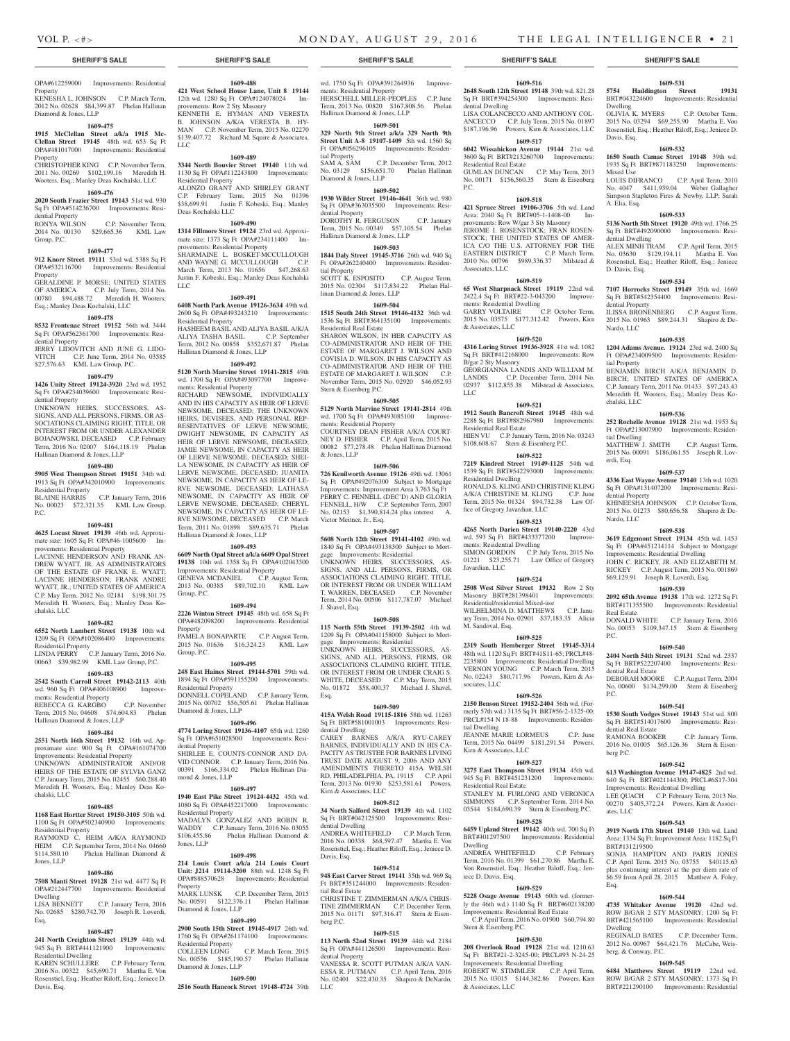HERSCHELL MILLER-PEOPLES C.P. June Term, 2013 No. 00820 \$167,808.56 Phelan Hallinan Diamond & Jones, LLP **1609-501 329 North 9th Street a/k/a 329 North 9th Street Unit A-8 19107-1409** 5th wd. 1560 Sq<br>Ft OPA#056296105 Improvements: Residen-

No. 03129 \$156,651.70 Phelan Hallinan

**1609-502 1930 Wilder Street 19146-4641** 36th wd. 980 Sq Ft OPA#363035500 Improvements: Resi-

DOROTHY R. FERGUSON C.P. January Term, 2015 No. 00349 \$57,105.54 Phelan

**1609-503 1844 Daly Street 19145-3716** 26th wd. 940 Sq Ft OPA#262240400 Improvements: Residen-

SCOTT K. ESPOSITO C.P. August Term, 2015 No. 02304 \$117,834.22 Phelan Hal-

**1609-504 1515 South 24th Street 19146-4132** 36th wd. 1536 Sq Ft BRT#364135100 Improvements:

SHARON WILSON, IN HER CAPACITY AS CO-ADMINISTRATOR AND HEIR OF THE ESTATE OF MARGARET J. WILSON AND COVISIA D. WILSON, IN HIS CAPACITY AS CO-ADMINISTRATOR AND HEIR OF THE ESTATE OF MARGARET J. WILSON C.P. November Term, 2015 No. 02920 \$46,052.93

**1609-505 5129 North Marvine Street 19141-2814** 49th wd. 1700 Sq Ft OPA#493085100 Improvements: Residential Property COURTNEY DEAN FISHER A/K/A COURT-NEY D. FISHER C.P. April Term, 2015 No. 00082 \$77,278.48 Phelan Hallinan Diamond

**1609-506 726 Kenilworth Avenue 19126** 49th wd. 13061 Sq Ft OPA#492076300 Subject to Mortgage Improvements: Improvement Area 3,763 Sq Ft PERRY C. FENNELL (DEC'D) AND GLORIA FENNELL, H/W C.P. September Term, 2007 No. 02153 \$1,390,814.24 plus interest A.

**1609-507 5608 North 12th Street 19141-4102** 49th wd. 1840 Sq Ft OPA#493138300 Subject to Mortgage Improvements: Residential UNKNOWN HEIRS, SUCCESSORS, AS-SIGNS, AND ALL PERSONS, FIRMS, OR ASSOCIATIONS CLAIMING RIGHT, TITLE, OR INTEREST FROM OR UNDER WILLIAM T. WARREN, DECEASED C.P. November Term, 2014 No. 00506 \$117,787.07 Michael

**1609-508 115 North 55th Street 19139-2502** 4th wd. 1209 Sq Ft OPA#041158000 Subject to Mort-

UNKNOWN HEIRS, SUCCESSORS, AS-SIGNS, AND ALL PERSONS, FIRMS, OR ASSOCIATIONS CLAIMING RIGHT, TITLE, OR INTEREST FROM OR UNDER CRAIG S. WHITE, DECEASED C.P. May Term, 2015 No. 01872 \$58,400.37 Michael J. Shavel,

**1609-509 415A Welsh Road 19115-1816** 58th wd. 11263 Sq Ft BRT#581001003 Improvements: Residential Dwelling CAREY BARNES A/K/A RYU-CAREY BARNES, INDIVIDUALLY AND IN HIS CA-PACITY AS TRUSTEE FOR BARNES LIVING TRUST DATE AUGUST 9, 2006 AND ANY AMENDMENTS THERETO 415A WELSH RD, PHILADELPHIA, PA, 19115 C.P. April Term, 2013 No. 01930 \$253,581.61 Powers,

**1609-512 34 North Salford Street 19139** 4th wd. 1102 Sq Ft BRT#042125500 Improvements: Resi-

ANDREA WHITEFIELD C.P. March Term, 2016 No. 00338 \$68,597.47 Martha E. Von Rosenstiel, Esq.; Heather Riloff, Esq.; Jeniece D.

**1609-514 948 East Carver Street 19141** 35th wd. 969 Sq Ft BRT#351244000 Improvements: Residen-

CHRISTINE T. ZIMMERMAN A/K/A CHRIS-TINE ZIMMERMAN C.P. December Term, 2015 No. 01171 \$97,316.47 Stern & Eisen-

**1609-515 113 North 52nd Street 19139** 44th wd. 2184 Sq Ft OPA#441126500 Improvements: Residential Property VANESSA R. SCOTT PUTMAN A/K/A VAN-ESSA R. PUTMAN C.P. April Term, 2016 No. 02401 \$22,430.35 Shapiro & DeNardo,

gage Improvements: Residential

Kirn & Associates, LLC

dential Dwelling

Davis, Esq.

tial Real Estate

berg P.C.

ments: Residential Property

tial Property

dential Property

tial Property

Diamond & Jones, LLP

Hallinan Diamond & Jones, LLP

linan Diamond & Jones, LLP

Residential Real Estate

Stern & Eisenberg P.C.

& Jones, LLP

Victor Meitner, Jr., Esq.

J. Shavel, Esq.

Esq.

Dwelling

Davis, Esq.

Mixed Use

A. Elia, Esq.

dential Dwelling

D. Davis, Esq.

dential Property

Nardo, LLC

tial Property

chalski, LLC

tial Dwelling

dential Property

Nardo, LLC

Real Estate

dential Real Estate

dential Real Estate

P.C.

P.C.

berg P.C.

ates, LLC

Esq.

Dwelling

berg, & Conway, P.C.

BRT#131219500

erdi, Esq.

**1609-531 5754 Haddington Street 19131**  BRT#043224600 Improvements: Residential

OLIVIA K. MYERS C.P. October Term, 2015 No. 03294 \$69,255.90 Martha E. Von Rosenstiel, Esq.; Heather Riloff, Esq.; Jeniece D.

**1609-532 1650 South Camac Street 19148** 39th wd. 1935 Sq Ft BRT#871183250 Improvements:

LOUIS DIFRANCO C.P. April Term, 2010 No. 4047 \$411,939.04 Weber Gallagher Simpson Stapleton Fires & Newby, LLP; Sarah

**1609-533 5136 North 5th Street 19120** 49th wd. 1766.25 Sq Ft BRT#492090000 Improvements: Resi-

ALEX MINH TRAM C.P. April Term, 2015 No. 03630 \$129,194.11 Martha E. Von Rosenstiel, Esq.; Heather Riloff, Esq.; Jeniece

**1609-534 7107 Horrocks Street 19149** 35th wd. 1669 Sq Ft BRT#542354400 Improvements: Resi-

ILISSA BRONENBERG C.P. August Term, 2015 No. 01963 \$89,244.31 Shapiro & De-

**1609-535 1204 Adams Avenue. 19124** 23rd wd. 2400 Sq Ft OPA#234009500 Improvements: Residen-

BENJAMIN BIRCH A/K/A BENJAMIN D. BIRCH; UNITED STATES OF AMERICA C.P. January Term, 2011 No. 01433 \$97,243.43 Meredith H. Wooters, Esq.; Manley Deas Ko-

**1609-536 252 Rochelle Avenue 19128** 21st wd. 1953 Sq Ft OPA#213007900 Improvements: Residen-

MATTHEW J. SMITH C.P. August Term, 2015 No. 00091 \$186,061.55 Joseph R. Lov-

**1609-537 4336 East Wayne Avenue 19140** 13th wd. 1020 Sq Ft OPA#131407200 Improvements: Resi-

KHINEESHA JOHNSON C.P. October Term, 2015 No. 01273 \$80,656.58 Shapiro & De-

**1609-538 3619 Edgemont Street 19134** 45th wd. 1453 Sq Ft OPA#451214114 Subject to Mortgage Improvements: Residential Dwelling JOHN C. RICKEY, JR. AND ELIZABETH M. RICKEY C.P. August Term, 2015 No. 001869 \$69,129.91 Joseph R. Loverdi, Esq. **1609-539 2092 65th Avenue 19138** 17th wd. 1272 Sq Ft BRT#171355500 Improvements: Residential

DONALD WHITE C.P. January Term, 2016 No. 00053 \$109,347.15 Stern & Eisenberg

**1609-540 2404 North 54th Street 19131** 52nd wd. 2337 Sq Ft BRT#522207400 Improvements: Resi-

DEBORAH MOORE C.P. August Term, 2004 No. 00600 \$134,299.00 Stern & Eisenberg

**1609-541 1530 South Vodges Street 19143** 51st wd. 800 Sq Ft BRT#514017600 Improvements: Resi-

RAMONA BOOKER C.P. January Term, 2016 No. 01005 \$65,126.36 Stern & Eisen-

**1609-542 613 Washington Avenue 19147-4825** 2nd wd. 640 Sq Ft BRT#021144300; PRCL#6S17-304 Improvements: Residential Dwelling LEE QUACH C.P. February Term, 2013 No. 00270 \$405,372.24 Powers, Kirn & Associ-

**1609-543 3919 North 17th Street 19140** 13th wd. Land Area: 1334 Sq Ft; Improvement Area: 1182 Sq Ft

SONJA HAMPTON AND PARIS JONES C.P. April Term, 2015 No. 03755 \$40115.63 plus continuing interest at the per diem rate of \$6.59 from April 28, 2015 Matthew A. Foley,

**1609-544 4735 Whitaker Avenue 19120** 42nd wd. ROW B/GAR 2 STY MASONRY; 1200 Sq Ft BRT#421565100 Improvements: Residential

REGINALD BATES C.P. December Term, 2012 No. 00967 \$64,421.76 McCabe, Weis-

**1609-545 6484 Matthews Street 19119** 22nd wd. ROW B/GAR 2 STY MASONRY; 1373 Sq Ft BRT#221290100 Improvements: Residential

### **SHERIFF'S SALE SHERIFF'S SALE SHERIFF'S SALE SHERIFF'S SALE SHERIFF'S SALE**

# OPA#612259000 Improvements: Residential

Property KENESHA L. JOHNSON C.P. March Term, 2012 No. 02628 \$84,399.87 Phelan Hallinan Diamond & Jones, LLP

#### **1609-475**

**1915 McClellan Street a/k/a 1915 Mc-Clellan Street 19145** 48th wd. 653 Sq Ft OPA#481017000 Improvements: Residential Property

# CHRISTOPHER KING C.P. November Term,

2011 No. 00269 \$102,199.16 Meredith H. Wooters, Esq.; Manley Deas Kochalski, LLC **1609-476**

**2020 South Frazier Street 19143** 51st wd. 930 Sq Ft OPA#514236700 Improvements: Resi-

dential Property<br>RONYA WILSON C.P. November Term, 2014 No. 00130 \$29,665.36 KML Law Group, P.C.

### **1609-477**

**912 Knorr Street 19111** 53rd wd. 5388 Sq Ft OPA#532116700 Improvements: Residential Property GERALDINE P. MORSE; UNITED STATES

OF AMERICA C.P. July Term, 2014 No. 00780 \$94,488.72 Meredith H. Wooters, Esq.; Manley Deas Kochalski, LLC

#### **1609-478**

**8532 Frontenac Street 19152** 56th wd. 3444 Sq Ft OPA#562361700 Improvements: Residential Property

JERRY LIDOVITCH AND JUNE G. LIDO-VITCH C.P. June Term, 2014 No. 03585 \$27,576.63 KML Law Group, P.C.

# **1609-479**

**1426 Unity Street 19124-3920** 23rd wd. 1952 Sq Ft OPA#234039600 Improvements: Residential Property

UNKNOWN HEIRS, SUCCESSORS, AS-SIGNS, AND ALL PERSONS, FIRMS, OR AS-SOCIATIONS CLAIMING RIGHT, TITLE, OR INTEREST FROM OR UNDER ALEXANDER BOJANOWSKI, DECEASED C.P. February Term, 2016 No. 02007 \$164,118.19 Phelan Hallinan Diamond & Jones, LLP

#### **1609-480**

**5905 West Thompson Street 19151** 34th wd. 1913 Sq Ft OPA#342010900 Improvements: Residential Property

BLAINE HARRIS C.P. January Term, 2016 No. 00023 \$72,321.35 KML Law Group, P.C.

#### **1609-481**

**4625 Locust Street 19139** 46th wd. Approximate size: 1605 Sq Ft OPA#46-1005600 Improvements: Residential Property

LACINNE HENDERSON AND FRANK AN-DREW WYATT, JR. AS ADMINISTRATORS OF THE ESTATE OF FRANK E. WYATT; LACINNE HENDERSON; FRANK ANDRE WYATT, JR.; UNITED STATES OF AMERICA C.P. May Term, 2012 No. 02181 \$198,301.75 Meredith H. Wooters, Esq.; Manley Deas Kochalski, LLC

#### **1609-482**

**6552 North Lambert Street 19138** 10th wd. 1209 Sq Ft OPA#102086400 Improvements: Residential Property LINDA PERRY C.P. January Term, 2016 No. 00663 \$39,982.99 KML Law Group, P.C.

# **1609-483**

**2542 South Carroll Street 19142-2113** 40th wd. 960 Sq Ft OPA#406108900 Improvements: Residential Property<br>REBECCA G. KARGBO REBECCA G. KARGBO C.P. November Term, 2015 No. 04608 \$74,604.83 Phelan

# **1609-484**

**2551 North 16th Street 19132** 16th wd. Approximate size: 900 Sq Ft OPA#161074700 Improvements: Residential Property UNKNOWN ADMINISTRATOR AND/OR HEIRS OF THE ESTATE OF SYLVIA GANZ C.P. January Term, 2015 No. 02455 \$60,288.40 Meredith H. Wooters, Esq.; Manley Deas Kochalski, LLC

#### **1609-485**

Hallinan Diamond & Jones, LLP

**1168 East Hortter Street 19150-3105** 50th wd. 1100 Sq Ft OPA#502340900 Improvements: Residential Property RAYMOND C. HEIM A/K/A RAYMOND

HEIM C.P. September Term, 2014 No. 04660 \$114,580.10 Phelan Hallinan Diamond & Jones, LLP

#### **1609-486 7508 Manti Street 19128** 21st wd. 4477 Sq Ft

OPA#212447700 Improvements: Residential Dwelling<br>LISA BENNETT C.P. January Term, 2016 No. 02685 \$280,742.70 Joseph R. Loverdi, Esq.

#### **1609-487**

**241 North Creighton Street 19139** 44th wd. 945 Sq Ft BRT#441121900 Improvements: Residential Dwelling

KAREN SCHULLERE C.P. February Term, 2016 No. 00322 \$45,690.71 Martha E. Von Rosenstiel, Esq.; Heather Riloff, Esq.; Jeniece D. Davis, Esq.

**1609-488**

**421 West School House Lane, Unit 8 19144**  12th wd. 1280 Sq Ft OPA#124078024 Improvements: Row 2 Sty Masonry KENNETH E. HYMAN AND VERESTA B. JOHNSON A/K/A VERESTA B. HY-MAN C.P. November Term, 2015 No. 02270 \$139,407.72 Richard M. Squire & Associates, LLC

#### **1609-489**

**3344 North Bouvier Street 19140** 11th wd. 1130 Sq Ft OPA#112243800 Improvements: Residential Property ALONZO GRANT AND SHIRLEY GRANT C.P. February Term, 2015 No. 01396 \$38,699.91 Justin F. Kobeski, Esq.; Manley Deas Kochalski LLC

#### **1609-490**

**1314 Fillmore Street 19124** 23rd wd. Approximate size: 1373 Sq Ft OPA#234111400 Improvements: Residential Property SHARMAINE L. BOSKET-MCCULLOUGH AND WAYNE G. MCCULLOUGH C.P. March Term, 2013 No. 01656 \$47,268.63

Justin F. Kobeski, Esq.; Manley Deas Kochalski LLC **1609-491**

**6408 North Park Avenue 19126-3634** 49th wd. 2600 Sq Ft OPA#493243210 Improvements: Residential Property HASHEEM BASIL AND ALIYA BASIL A/K/A ALIYA TASHA BASIL C.P. September Term, 2012 No. 00858 \$352,671.87 Phelan Hallinan Diamond & Jones, LLP

#### **1609-492**

**5120 North Marvine Street 19141-2815** 49th wd. 1700 Sq Ft OPA#493097700 Improvements: Residential Property RICHARD NEWSOME, INDIVIDUALLY AND IN HIS CAPACITY AS HEIR OF LERVE NEWSOME, DECEASED; THE UNKNOWN HEIRS, DEVISEES, AND PERSONAL REP-RESENTATIVES OF LERVE NEWSOME; DWIGHT NEWSOME, IN CAPACITY AS HEIR OF LERVE NEWSOME, DECEASED; JAMIE NEWSOME, IN CAPACITY AS HEIR OF LERVE NEWSOME, DECEASED; SHEI-LA NEWSOME, IN CAPACITY AS HEIR OF LERVE NEWSOME, DECEASED; JUANITA NEWSOME, IN CAPACITY AS HEIR OF LE-RVE NEWSOME, DECEASED; LATHASA NEWSOME, IN CAPACITY AS HEIR OF LERVE NEWSOME, DECEASED; CHERYL NEWSOME, IN CAPACITY AS HEIR OF LE-RVE NEWSOME, DECEASED C.P. March Term, 2011 No. 01898 \$89,635.71 Phelan Hallinan Diamond & Jones, LLP

#### **1609-493**

**6609 North Opal Street a/k/a 6609 Opal Street 19138** 10th wd. 1358 Sq Ft OPA#102043300 Improvements: Residential Property GENEVA MCDANIEL C.P. August Term, 2013 No. 00385 \$89,702.10 KML Law Group, P.C.

#### **1609-494**

**2226 Winton Street 19145** 48th wd. 658 Sq Ft OPA#482098200 Improvements: Residential **Property** PAMELA BONAPARTE C.P. August Term, 2015 No. 01636 \$16,324.23 KML Law Group, P.C.

**1609-495**

**248 East Haines Street 19144-5701** 59th wd. 1894 Sq Ft OPA#591155200 Improvements: Residential Property DONNELL COPELAND C.P. January Term, 2015 No. 00702 \$56,505.61 Phelan Hallinan Diamond & Jones, LLP

#### **1609-496**

**4774 Loring Street 19136-4107** 65th wd. 1260 Sq Ft OPA#651028500 Improvements: Residential Property SHIRLEE E. COUNTS-CONNOR AND DA-VID CONNOR C.P. January Term, 2016 No. 00391 \$166,334.02 Phelan Hallinan Diamond & Jones, LLP

#### **1609-497**

**1940 East Pike Street 19124-4432** 45th wd. 1080 Sq Ft OPA#452217000 Improvements: Residential Property MADALYN GONZALEZ AND ROBIN R. WADDY C.P. January Term, 2016 No. 03055 \$106,455.86 Phelan Hallinan Diamond & Jones, LLP

#### **1609-498**

**214 Louis Court a/k/a 214 Louis Court Unit: J214 19114-3200** 88th wd. 1248 Sq Ft OPA#888570628 Improvements: Residential Property<br>MARK LUNSK C.P. December Term, 2015 No. 00591 \$122,376.11 Phelan Hallinan Diamond & Jones, LLP

#### **1609-499**

**2900 South 15th Street 19145-4917** 26th wd. 1760 Sq Ft OPA#261174100 Improvements: Residential Property C.P. March Term, 2015 No. 00556 \$185,190.57 Phelan Hallinan Diamond & Jones, LLP

#### **1609-500**

**2516 South Hancock Street 19148-4724** 39th LLC

C.P. December Term, 2012

# wd. 1750 Sq Ft OPA#391264936 Improve-

**2648 South 12th Street 19148** 39th wd. 821.28 Sq Ft BRT#394254300 Improvements: Residential Dwelling LISA COLANCECCO AND ANTHONY COL-ANCECCO C.P. July Term, 2015 No. 01897 \$187,196.96 Powers, Kirn & Associates, LLC

**1609-516**

# **1609-517**

**6042 Wissahickon Avenue 19144** 21st wd. 3600 Sq Ft BRT#213260700 Improvements: Residential Real Estate GUMLAN DUNCAN C.P. May Term, 2013 No. 00171 \$156,560.35 Stern & Eisenberg P.C.

# **1609-518**

**421 Spruce Street 19106-3706** 5th wd. Land Area: 2040 Sq Ft BRT#05-1-1408-00 Improvements: Row W/gar 3 Sty Masonry JEROME I. ROSENSTOCK; FRAN ROSEN-STOCK; THE UNITED STATES OF AMER-ICA C/O THE U.S. ATTORNEY FOR THE EASTERN DISTRICT C.P. March Term,<br>2010 No. 00796 \$989,336.37 Milstead &<br>Associates, LLC

# **1609-519**

**65 West Sharpnack Street 19119** 22nd wd. 2422.4 Sq Ft BRT#22-3-043200 Improve-ments: Residential Dwelling GARRY VOLTAIRE C.P. October Term,<br>2015 No. 03575 \$177,312.42 Powers, Kirn<br>& Associates, LLC

#### **1609-520**

**4316 Loring Street 19136-3928** 41st wd. 1082 Sq Ft BRT#412168000 Improvements: Row B/gar 2 Sty Masonry GEORGIANNA LANDIS AND WILLIAM M. LANDIS C.P. December Term, 2014 No. 02937 \$112,855.38 Milstead & Associates, LLC

### **1609-521**

**1912 South Bancroft Street 19145** 48th wd. 2288 Sq Ft BRT#882967980 Improvements: Residential Real Estate HIEN VU C.P. January Term, 2016 No. 03243 \$108,608.67 Stern & Eisenberg P.C.

# **1609-522**

**7219 Kindred Street 19149-1125** 54th wd. 1539 Sq Ft BRT#542293000 Improvements: Residential Dwelling RONALD S. KLING AND CHRISTINE KLING A/K/A CHRISTINE M. KLING C.P. June Term, 2015 No. 01324 \$94,732.38 Law Office of Gregory Javardian, LLC

#### **1609-523 4265 North Darien Street 19140-2220** 43rd

wd. 593 Sq Ft BRT#433377200 Improvements: Residential Dwelling SIMON GORDON C.P. July Term, 2015 No. 01221 \$23,255.71 Law Office of Gregory Javardian, LLC

#### **1609-524**

**2508 West Silver Street 19132** Row 2 Sty Masonry BRT#281398401 Improvements: Residential/residential Mixed-use WILHELMINA D. MATTHEWS C.P. January Term, 2014 No. 02901 \$37,183.35 Alicia M. Sandoval, Esq.

#### **1609-525**

**2319 South Hemberger Street 19145-3314**  48th wd. 1120 Sq Ft BRT#41S11-65; PRCL#48- 2235800 Improvements: Residential Dwelling VERNON YOUNG C.P. March Term, 2015 No. 02243 \$80,717.96 Powers, Kirn & As-sociates, LLC

**1609-526 2150 Benson Street 19152-2404** 56th wd. (Formerly 57th wd.) 3135 Sq Ft BRT#56-2-1325-00; PRCL#154 N 18-88 Improvements: Residential Dwelling

tial Dwelling JEANNE MARIE LORMEUS C.P. June Term, 2015 No. 04499 \$181,291.54 Powers, Kirn & Associates, LLC

#### **1609-527**

**3275 East Thompson Street 19134** 45th wd. 945 Sq Ft BRT#451231200 Improvements: Residential Real Estate STANLEY M. FURLONG AND VERONICA SIMMONS C.P. September Term, 2014 No. 03544 \$184,690.39 Stern & Eisenberg P.C.

### **1609-528 6459 Upland Street 19142** 40th wd. 700 Sq Ft

BRT#401297500 Improvements: Residential Dwelling ANDREA WHITEFIELD C.P. February Term, 2016 No. 01399 \$61,270.86 Martha E. Von Rosenstiel, Esq.; Heather Riloff, Esq.; Jeniece D. Davis, Esq.

### **1609-529**

**5228 Osage Avenue 19143** 60th wd. (formerly the 46th wd.) 1140 Sq Ft BRT#602138200 Improvements: Residential Real Estate C.P. April Term, 2016 No. 01900 \$60,794.80 Stern & Eisenberg P.C.

Sq Ft BRT#21-2-3245-00; PRCL#93 N-24-25 Improvements: Residential Dwelling<br>ROBERT W. STIMMLER C.P. April Term, ROBERT W. STIMMLER C.P. April Term, 2015 No. 03015 \$144,382.86 Powers, Kirn

#### **1609-530 208 Overlook Road 19128** 21st wd. 1210.63

& Associates, LLC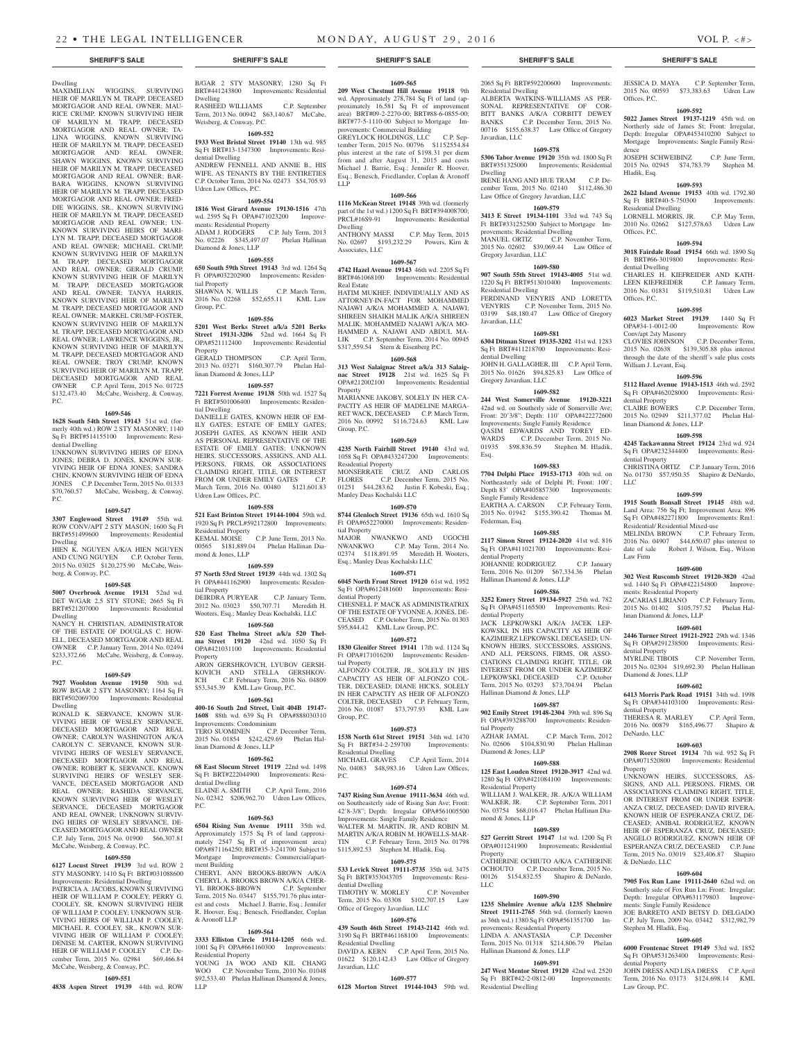# Dwelling

MAXIMILIAN WIGGINS, SURVIVING HEIR OF MARILYN M. TRAPP, DECEASED MORTGAGOR AND REAL OWNER; MAU-RICE CRUMP, KNOWN SURVIVING HEIR OF MARILYN M. TRAPP, DECEASED MORTGAGOR AND REAL OWNER; TA-LINA WIGGINS, KNOWN SURVIVING HEIR OF MARILYN M. TRAPP, DECEASED MORTGAGOR AND REAL OWNER; SHAWN WIGGINS, KNOWN SURVIVING HEIR OF MARILYN M. TRAPP, DECEASED MORTGAGOR AND REAL OWNER; BAR-BARA WIGGINS, KNOWN SURVIVING HEIR OF MARILYN M. TRAPP, DECEASED MORTGAGOR AND REAL OWNER; FRED-DIE WIGGINS, SR., KNOWN SURVIVING HEIR OF MARILYN M. TRAPP, DECEASED MORTGAGOR AND REAL OWNER; UN-KNOWN SURVIVING HEIRS OF MARI-LYN M. TRAPP, DECEASED MORTGAGOR AND REAL OWNER; MICHAEL CRUMP, KNOWN SURVIVING HEIR OF MARILYN M. TRAPP, DECEASED MORTGAGOR AND REAL OWNER; GERALD CRUMP, KNOWN SURVIVING HEIR OF MARILYN M. TRAPP, DECEASED MORTGAGOR AND REAL OWNER; TANYA HARRIS, KNOWN SURVIVING HEIR OF MARILYN M. TRAPP, DECEASED MORTGAGOR AND REAL OWNER; MARKEL CRUMP-FOSTER, KNOWN SURVIVING HEIR OF MARILYN M. TRAPP, DECEASED MORTGAGOR AND REAL OWNER; LAWRENCE WIGGINS, JR., KNOWN SURVIVING HEIR OF MARILYN M. TRAPP, DECEASED MORTGAGOR AND REAL OWNER; TROY CRUMP, KNOWN SURVIVING HEIR OF MARILYN M. TRAPP, DECEASED MORTGAGOR AND REAL OWNER C.P. April Term, 2015 No. 01725 \$132,473.40 McCabe, Weisberg, & Conway, P.C.

#### **1609-546**

**1628 South 54th Street 19143** 51st wd. (formerly 40th wd.) ROW 2 STY MASONRY; 1140 Sq Ft BRT#514155100 Improvements: Residential Dwelling

UNKNOWN SURVIVING HEIRS OF EDNA JONES; DEBRA D. JONES, KNOWN SUR-VIVING HEIR OF EDNA JONES; SANDRA CHIN, KNOWN SURVIVING HEIR OF EDNA JONES C.P. December Term, 2015 No. 01333 \$70,760.57 McCabe, Weisberg, & Conway, P.C.

#### **1609-547**

**3307 Englewood Street 19149** 55th wd. ROW CONV/APT 2 STY MASON; 1600 Sq Ft BRT#551499600 Improvements: Residential Dwelling

HIEN K. NGUYEN A/K/A HIEN NGUYEN AND CUNG NGUYEN C.P. October Term, 2015 No. 03025 \$120,275.90 McCabe, Weisberg, & Conway, P.C.

#### **1609-548**

**5007 Overbrook Avenue 19131** 52nd wd. DET W/GAR 2.5 STY STONE; 2665 Sq Ft BRT#521207000 Improvements: Residential Dwelling

NANCY H. CHRISTIAN, ADMINISTRATOR OF THE ESTATE OF DOUGLAS C. HOW-ELL, DECEASED MORTGAGOR AND REAL OWNER C.P. January Term, 2014 No. 02494 \$233,372.66 McCabe, Weisberg, & Conway, P.C.

#### **1609-549**

**7927 Woolston Avenue 19150** 50th wd. ROW B/GAR 2 STY MASONRY; 1164 Sq Ft BRT#502069700 Improvements: Residential Dwelling

RONALD K. SERVANCE, KNOWN SUR-VIVING HEIR OF WESLEY SERVANCE, DECEASED MORTGAGOR AND REAL OWNER; CAROLYN WASHINGTON A/K/A CAROLYN C. SERVANCE, KNOWN SUR-VIVING HEIRS OF WESLEY SERVANCE, DECEASED MORTGAGOR AND REAL OWNER; ROBERT K. SERVANCE, KNOWN SURVIVING HEIRS OF WESLEY SER-VANCE, DECEASED MORTGAGOR AND REAL OWNER; RASHIDA SERVANCE, KNOWN SURVIVING HEIR OF WESLEY SERVANCE, DECEASED MORTGAGOR AND REAL OWNER; UNKNOWN SURVIV-ING HEIRS OF WESLEY SERVANCE, DE-CEASED MORTGAGOR AND REAL OWNER C.P. July Term, 2015 No. 01900 \$66,307.81 McCabe, Weisberg, & Conway, P.C.

#### **1609-550**

**6127 Locust Street 19139** 3rd wd. ROW 2 STY MASONRY; 1410 Sq Ft BRT#031088600

Improvements: Residential Dwelling PATRICIA A. JACOBS, KNOWN SURVIVING HEIR OF WILLIAM P. COOLEY; PERRY G. COOLEY, SR, KNOWN SURVIVING HEIR OF WILLIAM P. COOLEY; UNKNOWN SUR-VIVING HEIRS OF WILLIAM P. COOLEY; MICHAEL R. COOLEY, SR., KNOWN SUR-VIVING HEIR OF WILLIAM P. COOLEY; DENISE M. CARTER, KNOWN SURVIVING HEIR OF WILLIAM P. COOLEY C.P. December Term, 2015. No. 02984 \$69,466.84 McCabe, Weisberg, & Conway, P.C.

# **1609-551**

**4838 Aspen Street 19139** 44th wd. ROW

B/GAR 2 STY MASONRY; 1280 Sq Ft BRT#441243800 Improvements: Residential Dwelling

RASHEED WILLIAMS C.P. September Term, 2013 No. 00942 \$63,140.67 McCabe, Weisberg, & Conway, P.C.

# **1609-552**

**1933 West Bristol Street 19140** 13th wd. 985 Sq Ft BRT#13-1347300 Improvements: Residential Dwelling ANDREW FENNELL AND ANNIE B., HIS WIFE, AS TENANTS BY THE ENTIRETIES C.P. October Term, 2014 No. 02473 \$54,705.93

# **1609-554**

**1816 West Girard Avenue 19130-1516** 47th wd. 2595 Sq Ft OPA#471023200 Improvements: Residential Property ADAM J. RODGERS C.P. July Term, 2013 No. 02226 \$345,497.07 Phelan Hallinan Diamond & Jones, LLP

### **1609-555**

Udren Law Offices, P.C.

Group, P.C.

**650 South 59th Street 19143** 3rd wd. 1264 Sq Ft OPA#032202900 Improvements: Residential Property SHAWNA N. WILLIS C.P. March Term, 2016 No. 02268 \$52,655.11 KML Law

# **1609-556**

**5201 West Berks Street a/k/a 5201 Berks Street 19131-3206** 52nd wd. 1664 Sq Ft OPA#521112400 Improvements: Residential Property GERALD THOMPSON C.P. April Term,

2013 No. 03271 \$160,307.79 Phelan Hallinan Diamond & Jones, LLP

# **1609-557**

**7221 Forrest Avenue 19138** 50th wd. 1527 Sq Ft BRT#501006400 Improvements: Residential Dwelling

DANIELLE GATES, KNOWN HEIR OF EM-ILY GATES; ESTATE OF EMILY GATES; JOSEPH GATES, AS KNOWN HEIR AND AS PERSONAL REPRESENTATIVE OF THE ESTATE OF EMILY GATES; UNKNOWN HEIRS, SUCCESSORS, ASSIGNS, AND ALL PERSONS, FIRMS, OR ASSOCIATIONS CLAIMING RIGHT, TITLE, OR INTEREST FROM OR UNDER EMILY GATES C.P. March Term, 2016 No. 00480 \$121,601.83 Udren Law Offices, P.C.

#### **1609-558**

**521 East Brinton Street 19144-1004** 59th wd. 1920 Sq Ft PRCL#592172800 Improvements: Residential Property KEMAL MOISE C.P. June Term, 2013 No.<br>00565 \$181,889.04 Phelan Hallinan Dia-Phelan Hallinan Diamond & Jones, LLP

#### **1609-559**

**57 North 53rd Street 19139** 44th wd. 1302 Sq Ft OPA#441162900 Improvements: Residential Property DEIRDRA PURYEAR C.P. January Term,

2012 No. 03023 \$50,707.71 Meredith H. Wooters, Esq.; Manley Deas Kochalski, LLC **1609-560 520 East Thelma Street a/k/a 520 Thelma Street 19120** 42nd wd. 1050 Sq Ft OPA#421031100 Improvements: Residential Property ARON GERSHKOVICH, LYUBOV GERSH-

KOVICH AND STELLA GERSHKOV-ICH C.P. February Term, 2016 No. 04809 \$53,345.39 KML Law Group, P.C. **1609-561**

**400-16 South 2nd Street, Unit 404B 19147- 1608** 88th wd. 639 Sq Ft OPA#888030310 Improvements: Condominium TERO SUOMINEN C.P. December Term, 2015 No. 01854 \$242,429.69 Phelan Hal-

#### **1609-562**

linan Diamond & Jones, LLP

**68 East Slocum Street 19119** 22nd wd. 1498 Sq Ft BRT#222044900 Improvements: Residential Dwelling ELAINE A. SMITH C.P. April Term, 2016

No. 02342 \$206,962.70 Udren Law Offices,  $PC$ 

# **1609-563**

**6504 Rising Sun Avenue 19111** 35th wd. Approximately 1575 Sq Ft of land (approximately 2547 Sq Ft of improvement area) OPA#871164250; BRT#35-3-241700 Subject to Mortgage Improvements: Commercial/apartment Building

CHERYL ANN BROOKS-BROWN A/K/A CHERYL A. BROOKS BROWN A/K/A CHER-<br>YL BROOKS-BROWN C.P. September YL BROOKS-BROWN Term, 2015 No. 03447 \$155,791.76 plus interest and costs Michael J. Barrie, Esq.; Jennifer R. Hoover, Esq.; Benesch, Friedlander, Coplan & Aronoff LLP

#### **1609-564**

**3333 Elliston Circle 19114-1205** 66th wd. 1001 Sq Ft OPA#661160300 Improvements: Residential Property

YOUNG JA WOO AND KIL CHANG WOO C.P. November Term, 2010 No. 01048 \$92,533.40 Phelan Hallinan Diamond & Jones, LLP

#### **1609-565**

**209 West Chestnut Hill Avenue 19118** 9th wd. Approximately 278,784 Sq Ft of land (approximately 16,581 Sq Ft of improvement area) BRT#09-2-2270-00; BRT#88-6-0855-00; BRT#77-5-1110-00 Subject to Mortgage Improvements: Commercial Building GREYLOCK HOLDINGS, LLC C.P. September Term, 2015 No. 00796 \$1152554.84 plus interest at the rate of \$198.31 per diem from and after August 31, 2015 and costs Michael J. Barrie, Esq.; Jennifer R. Hoover, Esq.; Benesch, Friedlander, Coplan & Aronoff LLP

#### **1609-566**

**1116 McKean Street 19148** 39th wd. (formerly part of the 1st wd.) 1200 Sq Ft BRT#394008700;<br>PRCL#16S9-91 Improvements: Residential Improvements: Residential Dwelling

ANTHONY MASSI C.P. May Term, 2015 No. 02697 \$193,232.29 Powers, Kirn & Associates, LLC

#### **1609-567**

**4742 Hazel Avenue 19143** 46th wd. 2205 Sq Ft BRT#461068100 Improvements: Residential Real Estate

HATIM MUKHEF, INDIVIDUALLY AND AS ATTORNEY-IN-FACT FOR MOHAMMED NAJAWI A/K/A MOHAMMED A. NAJAWI; SHIREEN SHAIKH MALIK A/K/A SHIREEN MALIK; MOHAMMED NAJAWI A/K/A MO-HAMMED A. NAJAWI AND ABDUL MA-LIK C.P. September Term, 2014 No. 00945 \$317,559.54 Stern & Eisenberg P.C.

#### **1609-568**

**313 West Salaignac Street a/k/a 313 Salaignac Street 19128** 21st wd. 1625 Sq Ft OPA#212002100 Improvements: Residential Property

MARIANNE JAKOBY, SOLELY IN HER CA-PACITY AS HEIR OF MADELINE MARGA-RET WACK, DECEASED C.P. March Term, 2016 No. 00992 \$116,724.63 KML Law Group, P.C.

#### **1609-569**

**4235 North Fairhill Street 19140** 43rd wd. 1058 Sq Ft OPA#433247200 Improvements: Residential Property MONSERRATE CRUZ AND CARLOS FLORES C.P. December Term, 2015 No. 01251 \$44,283.62 Justin F. Kobeski, Esq.; Manley Deas Kochalski LLC

**1609-570**

**8744 Glenloch Street 19136** 65th wd. 1610 Sq Ft OPA#652270000 Improvements: Residential Property MAJOR NWANKWO AND UGOCHI

NWANKWO C.P. May Term, 2014 No. 02374 \$118,891.95 Meredith H. Wooters, Esq.; Manley Deas Kochalski LLC

#### **1609-571**

**6045 North Front Street 19120** 61st wd. 1952 Sq Ft OPA#612481600 Improvements: Residential Property

CHESNELL P. MACK AS ADMINISTRATRIX OF THE ESTATE OF YVONNE A. JONES, DE-CEASED C.P. October Term, 2015 No. 01303 \$95,844.42 KML Law Group, P.C.

#### **1609-572**

**1830 Glenifer Street 19141** 17th wd. 1124 Sq Ft OPA#171016200 Improvements: Residential Property

ALFONZO COLTER, JR., SOLELY IN HIS CAPACITY AS HEIR OF ALFONZO COL-TER, DECEASED; DIANE HICKS, SOLELY IN HER CAPACITY AS HEIR OF ALFONZO COLTER, DECEASED C.P. February Term, 2016 No. 01087 \$73,797.93 KML Law Group, P.C.

#### **1609-573**

**1538 North 61st Street 19151** 34th wd. 1470 Sq Ft BRT#34-2-259700 Improvements: Residential Dwelling<br>MICHAEL GRAVES C.P. April Term, 2014

No. 04083 \$48,983.16 Udren Law Offices, P.C. **1609-574**

**7437 Rising Sun Avenue 19111-3634** 46th wd. on Southeasterly side of Rising Sun Ave; Front: 42'8-3/8"; Depth: Irregular OPA#561005500 Improvements: Single Family Residence WALTER M. MARTIN, JR. AND ROBIN M.

MARTIN A/K/A ROBIN M. HOWELLS-MAR-<br>TIN C.P. February Term, 2015 No. 01798 C.P. February Term, 2015 No. 01798 \$115,892.53 Stephen M. Hladik, Esq.

# **1609-575**

**533 Levick Street 19111-5735** 35th wd. 3475 Sq Ft BRT#353043705 Improvements: Residential Dwelling TIMOTHY W. MORLEY C.P. November Term, 2015 No. 03308 \$102,707.15 Law Office of Gregory Javardian, LLC

#### **1609-576**

**439 South 46th Street 19143-2142** 46th wd. 3190 Sq Ft BRT#461168100 Improvements: Residential Dwelling

DAVID A. KERN C.P. April Term, 2015 No. 01622 \$120,142.43 Law Office of Gregory Javardian, LLC

# **1609-577**

**6128 Morton Street 19144-1043** 59th wd.

#### **SHERIFF'S SALE SHERIFF'S SALE SHERIFF'S SALE SHERIFF'S SALE SHERIFF'S SALE**

2065 Sq Ft BRT#592200600 Improvements: Residential Dwelling ALBERTA WATKINS-WILLIAMS AS PER-SONAL REPRESENTATIVE OF COR-BITT BANKS A/K/A CORBITT DEWEY<br>BANKS C.P. December Term. 2015 No. C.P. December Term, 2015 No. 00716 \$155,638.37 Law Office of Gregory Javardian, LLC

JESSICA D. MAYA C.P. September Term, 2015 No. 00593 \$73,383.63 Udren Law

**1609-592 5022 James Street 19137-1219** 45th wd. on Northerly side of James St; Front: Irregular, Depth: Irregular OPA#453410200 Subject to Mortgage Improvements: Single Family Resi-

JOSEPH SCHWEIBINZ C.P. June Term, 2015 No. 02945 \$74,783.79 Stephen M.

**1609-593 2622 Island Avenue 19153** 40th wd. 1792.80 Sq Ft BRT#40-5-750300 Improvements:

LORNELL MORRIS, JR. C.P. May Term, 2010 No. 02662 \$127,578.63 Udren Law

**1609-594 3018 Fairdale Road 19154** 66th wd. 1890 Sq Ft BRT#66-3019800 Improvements: Resi-

CHARLES H. KIEFREIDER AND KATH-LEEN KIEFREIDER C.P. January Term, 2016 No. 01831 \$119,510.81 Udren Law

**1609-595 6023 Market Street 19139** 1440 Sq Ft OPA#34-1-0012-00 Improvements: Row

2015 No. 02638 \$139,305.88 plus interest through the date of the sheriff's sale plus costs

**1609-596 5112 Hazel Avenue 19143-1513** 46th wd. 2592 Sq Ft OPA#462028000 Improvements: Resi-

2015 No. 02949 \$211,377.02 Phelan Hal-

**1609-598 4245 Tackawanna Street 19124** 23rd wd. 924 Sq Ft OPA#232344400 Improvements: Resi-

CHRISTINA ORTIZ C.P. January Term, 2016 No. 01730 \$57,950.35 Shapiro & DeNardo,

**1609-599 1915 South Bonsall Street 19145** 48th wd. Land Area: 756 Sq Ft; Improvement Area: 896 Sq Ft OPA#482271800 Improvements: Rm1:

MELINDA BROWN C.P. February Term, 2016 No. 04907 \$44,650.07 plus interest to date of sale Robert J. Wilson, Esq., Wilson

**1609-600 302 West Ruscomb Street 19120-3820** 42nd wd. 1440 Sq Ft OPA#422154800 Improve-

ZACARIAS LIRIANO C.P. February Term, 2015 No. 01402 \$105,757.52 Phelan Hal-

**1609-601 2446 Turner Street 19121-2922** 29th wd. 1346 Sq Ft OPA#291238500 Improvements: Resi-

2015 No. 02304 \$19,692.30 Phelan Hallinan

**1609-602 6413 Morris Park Road 19151** 34th wd. 1998 Sq Ft OPA#344103100 Improvements: Resi-

THERESA R. MARLEY C.P. April Term, 2016 No. 00879 \$165,496.77 Shapiro &

**1609-603 2908 Rorer Street 19134** 7th wd. 952 Sq Ft OPA#071520800 Improvements: Residential

UNKNOWN HEIRS, SUCCESSORS, AS-SIGNS, AND ALL PERSONS, FIRMS, OR ASSOCIATIONS CLAIMING RIGHT, TITLE, OR INTEREST FROM OR UNDER ESPER-ANZA CRUZ, DECEASED; DAVID RIVERA, KNOWN HEIR OF ESPERANZA CRUZ, DE-CEASED; ANIBAL RODRIGUEZ, KNOWN HEIR OF ESPERANZA CRUZ, DECEASED; ANGELO RODRIGUEZ, KNOWN HEIR OF ESPERANZA CRUZ, DECEASED C.P. June Term, 2015 No. 03019 \$23,406.87 Shapiro

**1609-604 7905 Fox Run Lane 19111-2640** 62nd wd. on Southerly side of Fox Run Ln; Front: Irregular; Depth: Irregular OPA#631179803 Improve-

JOE BARRETO AND BETSY D. DELGADO C.P. July Term, 2009 No. 03442 \$312,982.79

**1609-605 6000 Frontenac Street 19149** 53rd wd. 1852 Sq Ft OPA#531263400 Improvements: Resi-

JOHN DRESS AND LISA DRESS C.P. April Term, 2016 No. 03173 \$124,698.14 KML

ments: Single Family Residence

Stephen M. Hladik, Esq.

dential Property

Law Group, P.C.

C.P. November Term,

Residential/ Residential Mixed-use

ments: Residential Property

linan Diamond & Jones, LLP

dential Property<br>MYRLINE TIBOIS

dential Property

DeNardo, LLC

& DeNardo, LLC

Property

Diamond & Jones, LLP

Improvements: Row

C.P. December Term,

C.P. December Term,

Offices, P.C.

dence

Hladik, Esq.

Offices, P.C.

dential Dwelling

Offices, P.C.

Conv/apt 2sty Masonry

William J. Levant, Esq.

dential Property<br>CLAIRE BOWERS

dential Property

LLC

Law Firm

linan Diamond & Jones, LLP

Residential Dwelling

#### **1609-578 5306 Tabor Avenue 19120** 35th wd. 1800 Sq Ft

BRT#351325000 Improvements: Residential Dwelling IRENE HANG AND HUE TRAM C.P. December Term, 2015 No. 02140 \$112,486.30 Law Office of Gregory Javardian, LLC

# **1609-579**

**3413 E Street 19134-1101** 33rd wd. 743 Sq Ft BRT#331252500 Subject to Mortgage Improvements: Residential Dwelling<br>MANUEL ORTIZ C.P. November Term MANUEL ORTIZ C.P. November Term, 2015 No. 02602 \$39,069.44 Law Office of Gregory Javardian, LLC

#### **1609-580**

**907 South 55th Street 19143-4005** 51st wd. 1220 Sq Ft BRT#513010400 Improvements: Residential Dwelling

FERDINAND VENYRIS AND LORETTA VENYRIS C.P. November Term, 2015 No. 03199 \$48,180.47 Law Office of Gregory Javardian, LLC

#### **1609-581 6304 Ditman Street 19135-3202** 41st wd. 1283

Sq Ft BRT#411218700 Improvements: Residential Dwelling JOHN H. GALLAGHER, III C.P. April Term, 2015 No. 01626 \$94,825.83 Law Office of

Gregory Javardian, LLC **1609-582 244 West Somerville Avenue 19120-3221** 

42nd wd. on Southerly side of Somerville Ave; Front: 20'3/8"; Depth: 110' OPA#422272600 Improvements: Single Family Residence QASIM EDWARDS AND TOREY ED-<br>WARDS C.P. December Term, 2015 No.

01935 \$98,836.59 Stephen M. Hladik,

**1609-583 7704 Delphi Place 19153-1713** 40th wd. on Northeasterly side of Delphi Pl; Front: 100'; Depth 83' OPA#405857300 Improvements:

EARTHA A. CARSON C.P. February Term, 2015 No. 01942 \$155,390.42 Thomas M.

**1609-585 2117 Simon Street 19124-2020** 41st wd. 816 Sq Ft OPA#411021700 Improvements: Resi-

JOHANNIE RODRIGUEZ C.P. January Term, 2016 No. 01209 \$67,334.36 Phelan

**1609-586 3252 Emery Street 19134-5927** 25th wd. 782 Sq Ft OPA#451165500 Improvements: Resi-

JACK LEPKOWSKI A/K/A JACEK LEP-KOWSKI, IN HIS CAPACITY AS HEIR OF KAZIMIERZ LEPKOWSKI, DECEASED; UN-KNOWN HEIRS, SUCCESSORS, ASSIGNS, AND ALL PERSONS, FIRMS, OR ASSO-CIATIONS CLAIMING RIGHT, TITLE, OR INTEREST FROM OR UNDER KAZIMIERZ<br>LEPKOWSKI, DECEASED C.P. October

Term, 2015 No. 03293 \$73,704.94 Phelan

**1609-587 902 Emily Street 19148-2304** 39th wd. 896 Sq Ft OPA#393288700 Improvements: Residen-

No. 02606 \$104,830.90 Phelan Hallinan

**1609-588 125 East Louden Street 19120-3917** 42nd wd. 1280 Sq Ft OPA#421084100 Improvements:

WILLIAM J. WALKER, JR. A/K/A WILLIAM WALKER, JR. C.P. September Term, 2011 No. 03754 \$68,016.47 Phelan Hallinan Dia-

**1609-589 527 Gerritt Street 19147** 1st wd. 1200 Sq Ft OPA#011241900 Improvements: Residential

CATHERINE OCHIUTO A/K/A CATHERINE OCHOUTO C.P. December Term, 2015 No. 00126 \$154,832.55 Shapiro & DeNardo,

**1609-590 1235 Shelmire Avenue a/k/a 1235 Shelmire Street 19111-2765** 56th wd. (formerly known as 36th wd.) 1380 Sq Ft OPA#561351700 Im-

LINDA A. ANASTASIA C.P. December Term, 2015 No. 01318 \$214,806.79 Phelan

**1609-591 247 West Mentor Street 19120** 42nd wd. 2520 Sq Ft BRT#42-2-0812-00 Improvements:

provements: Residential Property

Hallinan Diamond & Jones, LLP

Residential Dwelling

C.P. March Term, 2012

Hallinan Diamond & Jones, LLP

LEPKOWSKI, DECEASED

Hallinan Diamond & Jones, LLP

Single Family Residence

Federman, Esq.

dential Property

dential Property

tial Property<br>AZHAR JAMAL

Diamond & Jones, LLP

Residential Property

mond & Jones, LLP

Property

LLC

Esq.

C.P. December Term, 2015 No.